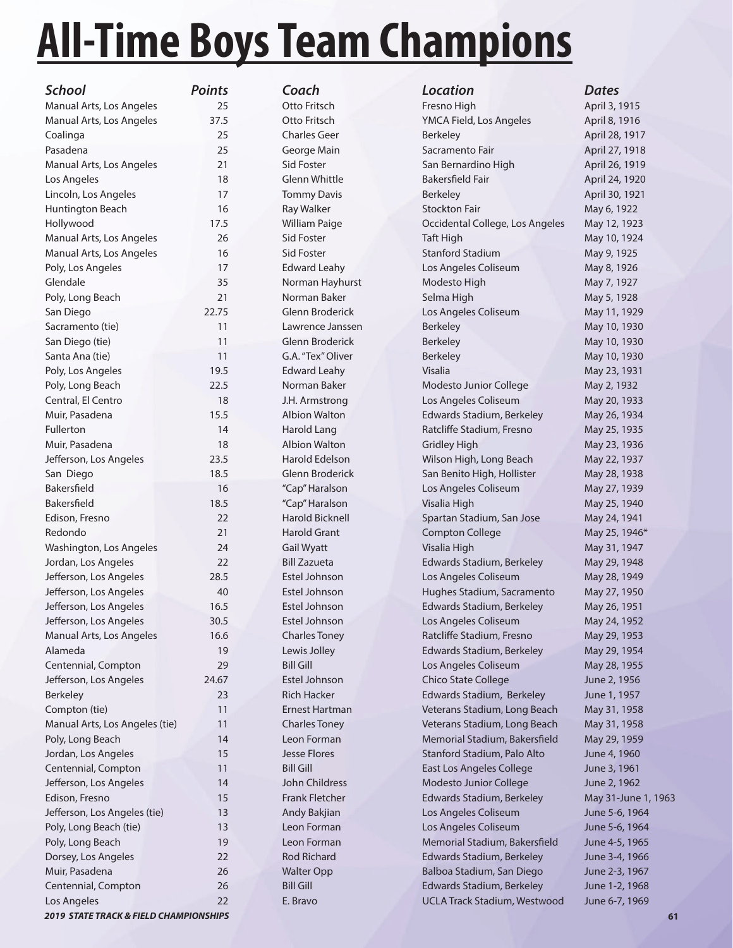# **All-Time Boys Team Champions**

| School                         | <b>Points</b> |
|--------------------------------|---------------|
| Manual Arts, Los Angeles       | 25            |
| Manual Arts, Los Angeles       | 37.5          |
| Coalinga                       | 25            |
| Pasadena                       | 25            |
| Manual Arts, Los Angeles       | 21            |
| Los Angeles                    | 18            |
| Lincoln, Los Angeles           | 17            |
| <b>Huntington Beach</b>        | 16            |
| Hollywood                      | 17.5          |
| Manual Arts, Los Angeles       | 26            |
| Manual Arts, Los Angeles       | 16            |
| Poly, Los Angeles              | 17            |
| Glendale                       | 35            |
| Poly, Long Beach               | 21            |
| San Diego                      | 22.75         |
| Sacramento (tie)               | 11            |
| San Diego (tie)                | 11            |
| Santa Ana (tie)                | 11            |
| Poly, Los Angeles              | 19.5          |
| Poly, Long Beach               | 22.5          |
| Central, El Centro             | 18            |
| Muir, Pasadena                 | 15.5          |
| Fullerton                      | 14            |
| Muir, Pasadena                 | 18            |
| Jefferson, Los Angeles         | 23.5          |
| San Diego                      | 18.5          |
| Bakersfield                    | 16            |
| Bakersfield                    | 18.5          |
| Edison, Fresno                 | 22            |
| Redondo                        | 21            |
| Washington, Los Angeles        | 24            |
| Jordan, Los Angeles            | 22            |
| Jefferson, Los Angeles         | 28.5          |
| Jefferson, Los Angeles         | 40            |
| Jefferson, Los Angeles         | 16.5          |
| Jefferson, Los Angeles         | 30.5          |
| Manual Arts, Los Angeles       | 16.6          |
| Alameda                        | 19            |
| Centennial, Compton            | 29            |
| Jefferson, Los Angeles         | 24.67         |
| <b>Berkeley</b>                | 23            |
| Compton (tie)                  | 11            |
| Manual Arts, Los Angeles (tie) | 11            |
| Poly, Long Beach               | 14            |
| Jordan, Los Angeles            | 15            |
| Centennial, Compton            | 11            |
| Jefferson, Los Angeles         | 14            |
| Edison, Fresno                 | 15            |
| Jefferson, Los Angeles (tie)   | 13            |
| Poly, Long Beach (tie)         | 13            |
| Poly, Long Beach               | 19            |
| Dorsey, Los Angeles            | 22            |
| Muir, Pasadena                 | 26            |
| Centennial, Compton            | 26            |
| Los Angeles                    | 22            |

| School                         | <b>Points</b> | Coach                  | <b>Location</b>                     | <b>Dates</b>        |
|--------------------------------|---------------|------------------------|-------------------------------------|---------------------|
| Manual Arts, Los Angeles       | 25            | Otto Fritsch           | Fresno High                         | April 3, 1915       |
| Manual Arts, Los Angeles       | 37.5          | Otto Fritsch           | YMCA Field, Los Angeles             | April 8, 1916       |
| Coalinga                       | 25            | <b>Charles Geer</b>    | Berkeley                            | April 28, 1917      |
| Pasadena                       | 25            | George Main            | Sacramento Fair                     | April 27, 1918      |
| Manual Arts, Los Angeles       | 21            | Sid Foster             | San Bernardino High                 | April 26, 1919      |
| Los Angeles                    | 18            | <b>Glenn Whittle</b>   | <b>Bakersfield Fair</b>             | April 24, 1920      |
| Lincoln, Los Angeles           | 17            | <b>Tommy Davis</b>     | <b>Berkeley</b>                     | April 30, 1921      |
| Huntington Beach               | 16            | Ray Walker             | <b>Stockton Fair</b>                | May 6, 1922         |
| Hollywood                      | 17.5          | <b>William Paige</b>   | Occidental College, Los Angeles     | May 12, 1923        |
| Manual Arts, Los Angeles       | 26            | Sid Foster             | <b>Taft High</b>                    | May 10, 1924        |
| Manual Arts, Los Angeles       | 16            | Sid Foster             | <b>Stanford Stadium</b>             | May 9, 1925         |
| Poly, Los Angeles              | 17            | <b>Edward Leahy</b>    | Los Angeles Coliseum                | May 8, 1926         |
| Glendale                       | 35            | Norman Hayhurst        | Modesto High                        | May 7, 1927         |
| Poly, Long Beach               | 21            | Norman Baker           | Selma High                          | May 5, 1928         |
| San Diego                      | 22.75         | Glenn Broderick        | Los Angeles Coliseum                | May 11, 1929        |
| Sacramento (tie)               | 11            | Lawrence Janssen       | <b>Berkeley</b>                     | May 10, 1930        |
| San Diego (tie)                | 11            | Glenn Broderick        | <b>Berkeley</b>                     | May 10, 1930        |
| Santa Ana (tie)                | 11            | G.A. "Tex" Oliver      | Berkeley                            | May 10, 1930        |
| Poly, Los Angeles              | 19.5          | <b>Edward Leahy</b>    | Visalia                             | May 23, 1931        |
| Poly, Long Beach               | 22.5          | Norman Baker           | Modesto Junior College              | May 2, 1932         |
| Central, El Centro             | 18            | J.H. Armstrong         | Los Angeles Coliseum                | May 20, 1933        |
| Muir, Pasadena                 | 15.5          | <b>Albion Walton</b>   | Edwards Stadium, Berkeley           | May 26, 1934        |
| <b>Fullerton</b>               | 14            | <b>Harold Lang</b>     | Ratcliffe Stadium, Fresno           | May 25, 1935        |
| Muir, Pasadena                 | 18            | <b>Albion Walton</b>   | <b>Gridley High</b>                 | May 23, 1936        |
| Jefferson, Los Angeles         | 23.5          | Harold Edelson         | Wilson High, Long Beach             | May 22, 1937        |
| San Diego                      | 18.5          | Glenn Broderick        | San Benito High, Hollister          | May 28, 1938        |
| <b>Bakersfield</b>             | 16            | "Cap" Haralson         | Los Angeles Coliseum                | May 27, 1939        |
| <b>Bakersfield</b>             | 18.5          | "Cap" Haralson         | Visalia High                        | May 25, 1940        |
| Edison, Fresno                 | 22            | <b>Harold Bicknell</b> | Spartan Stadium, San Jose           | May 24, 1941        |
| Redondo                        | 21            | <b>Harold Grant</b>    | <b>Compton College</b>              | May 25, 1946*       |
| Washington, Los Angeles        | 24            | <b>Gail Wyatt</b>      | Visalia High                        | May 31, 1947        |
| Jordan, Los Angeles            | 22            | <b>Bill Zazueta</b>    | Edwards Stadium, Berkeley           | May 29, 1948        |
| Jefferson, Los Angeles         | 28.5          | Estel Johnson          | Los Angeles Coliseum                | May 28, 1949        |
| Jefferson, Los Angeles         | 40            | Estel Johnson          | Hughes Stadium, Sacramento          | May 27, 1950        |
| Jefferson, Los Angeles         | 16.5          | Estel Johnson          | Edwards Stadium, Berkeley           | May 26, 1951        |
| Jefferson, Los Angeles         | 30.5          | Estel Johnson          | Los Angeles Coliseum                | May 24, 1952        |
| Manual Arts, Los Angeles       | 16.6          | <b>Charles Toney</b>   | Ratcliffe Stadium, Fresno           | May 29, 1953        |
| Alameda                        | 19            | Lewis Jolley           | Edwards Stadium, Berkeley           | May 29, 1954        |
| Centennial, Compton            | 29            | <b>Bill Gill</b>       | Los Angeles Coliseum                | May 28, 1955        |
| Jefferson, Los Angeles         | 24.67         | Estel Johnson          | Chico State College                 | June 2, 1956        |
| <b>Berkeley</b>                | 23            | <b>Rich Hacker</b>     | Edwards Stadium, Berkeley           | June 1, 1957        |
| Compton (tie)                  | 11            | Ernest Hartman         | Veterans Stadium, Long Beach        | May 31, 1958        |
| Manual Arts, Los Angeles (tie) | 11            | <b>Charles Toney</b>   | Veterans Stadium, Long Beach        | May 31, 1958        |
| Poly, Long Beach               | 14            | Leon Forman            | Memorial Stadium, Bakersfield       | May 29, 1959        |
| Jordan, Los Angeles            | 15            | <b>Jesse Flores</b>    | Stanford Stadium, Palo Alto         | June 4, 1960        |
| Centennial, Compton            | 11            | <b>Bill Gill</b>       | East Los Angeles College            | June 3, 1961        |
| Jefferson, Los Angeles         | 14            | John Childress         | Modesto Junior College              | June 2, 1962        |
| Edison, Fresno                 | 15            | <b>Frank Fletcher</b>  | Edwards Stadium, Berkeley           | May 31-June 1, 1963 |
| Jefferson, Los Angeles (tie)   | 13            | Andy Bakjian           | Los Angeles Coliseum                | June 5-6, 1964      |
| Poly, Long Beach (tie)         | 13            | Leon Forman            | Los Angeles Coliseum                | June 5-6, 1964      |
| Poly, Long Beach               | 19            | Leon Forman            | Memorial Stadium, Bakersfield       | June 4-5, 1965      |
| Dorsey, Los Angeles            | 22            | <b>Rod Richard</b>     | Edwards Stadium, Berkeley           | June 3-4, 1966      |
| Muir, Pasadena                 | 26            | <b>Walter Opp</b>      | Balboa Stadium, San Diego           | June 2-3, 1967      |
| Centennial, Compton            | 26            | <b>Bill Gill</b>       | Edwards Stadium, Berkeley           | June 1-2, 1968      |
| Los Angeles                    | 22            | E. Bravo               | <b>UCLA Track Stadium, Westwood</b> | June 6-7, 1969      |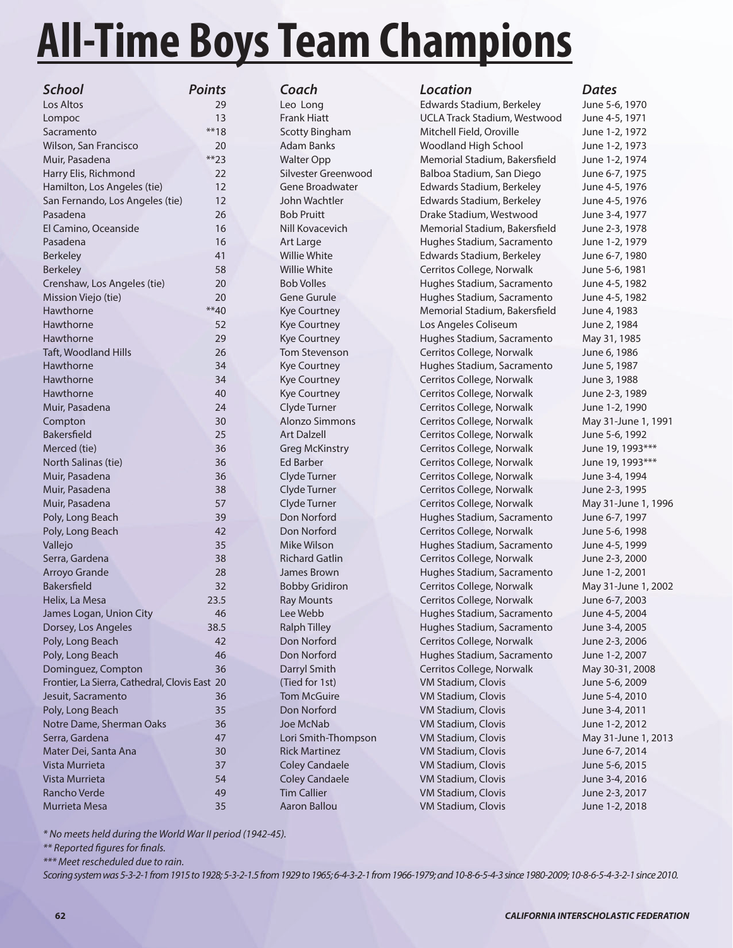# **All-Time Boys Team Champions**

| School                                         | <b>Points</b> | Coach                 | Location                      | <b>Dates</b> |
|------------------------------------------------|---------------|-----------------------|-------------------------------|--------------|
| Los Altos                                      | 29            | Leo Long              | Edwards Stadium, Berkeley     | June 5-      |
| Lompoc                                         | 13            | <b>Frank Hiatt</b>    | UCLA Track Stadium, Westwood  | June 4-      |
| Sacramento                                     | $**18$        | <b>Scotty Bingham</b> | Mitchell Field, Oroville      | June 1-.     |
| Wilson, San Francisco                          | 20            | <b>Adam Banks</b>     | Woodland High School          | June 1-2     |
| Muir, Pasadena                                 | $**23$        | <b>Walter Opp</b>     | Memorial Stadium, Bakersfield | June 1-2     |
| Harry Elis, Richmond                           | 22            | Silvester Greenwood   | Balboa Stadium, San Diego     | June 6-2     |
| Hamilton, Los Angeles (tie)                    | 12            | Gene Broadwater       | Edwards Stadium, Berkeley     | June 4-!     |
| San Fernando, Los Angeles (tie)                | 12            | John Wachtler         | Edwards Stadium, Berkeley     | June 4-      |
| Pasadena                                       | 26            | <b>Bob Pruitt</b>     | Drake Stadium, Westwood       | June 3-4     |
| El Camino, Oceanside                           | 16            | Nill Kovacevich       | Memorial Stadium, Bakersfield | June 2-      |
| Pasadena                                       | 16            | Art Large             | Hughes Stadium, Sacramento    | June 1-.     |
| <b>Berkeley</b>                                | 41            | Willie White          | Edwards Stadium, Berkeley     | June 6-7     |
| <b>Berkeley</b>                                | 58            | <b>Willie White</b>   | Cerritos College, Norwalk     | June 5-6     |
| Crenshaw, Los Angeles (tie)                    | 20            | <b>Bob Volles</b>     | Hughes Stadium, Sacramento    | June 4-!     |
| Mission Viejo (tie)                            | 20            | <b>Gene Gurule</b>    | Hughes Stadium, Sacramento    | June 4-      |
| Hawthorne                                      | $**40$        | Kye Courtney          | Memorial Stadium, Bakersfield | June 4,      |
| Hawthorne                                      | 52            | <b>Kye Courtney</b>   | Los Angeles Coliseum          | June 2,      |
| Hawthorne                                      | 29            | Kye Courtney          | Hughes Stadium, Sacramento    | May 31,      |
| Taft, Woodland Hills                           | 26            | Tom Stevenson         | Cerritos College, Norwalk     | June 6,      |
| Hawthorne                                      | 34            | <b>Kye Courtney</b>   | Hughes Stadium, Sacramento    | June 5,      |
| Hawthorne                                      | 34            | Kye Courtney          | Cerritos College, Norwalk     | June 3,      |
| Hawthorne                                      | 40            | <b>Kye Courtney</b>   | Cerritos College, Norwalk     | June 2-3     |
| Muir, Pasadena                                 | 24            | Clyde Turner          | Cerritos College, Norwalk     | June 1-2     |
| Compton                                        | 30            | <b>Alonzo Simmons</b> | Cerritos College, Norwalk     | May 31-      |
| Bakersfield                                    | 25            | <b>Art Dalzell</b>    | Cerritos College, Norwalk     | June 5-      |
| Merced (tie)                                   | 36            | <b>Greg McKinstry</b> | Cerritos College, Norwalk     | June 19      |
| North Salinas (tie)                            | 36            | <b>Ed Barber</b>      | Cerritos College, Norwalk     | June 19      |
| Muir, Pasadena                                 | 36            | Clyde Turner          | Cerritos College, Norwalk     | June 3-4     |
| Muir, Pasadena                                 | 38            | Clyde Turner          | Cerritos College, Norwalk     | June 2-3     |
| Muir, Pasadena                                 | 57            | Clyde Turner          | Cerritos College, Norwalk     | May 31-      |
| Poly, Long Beach                               | 39            | Don Norford           | Hughes Stadium, Sacramento    | June 6-      |
| Poly, Long Beach                               | 42            | Don Norford           | Cerritos College, Norwalk     | June 5-      |
| Vallejo                                        | 35            | Mike Wilson           | Hughes Stadium, Sacramento    | June 4-      |
| Serra, Gardena                                 | 38            | <b>Richard Gatlin</b> | Cerritos College, Norwalk     | June 2-3     |
| Arroyo Grande                                  | 28            | James Brown           | Hughes Stadium, Sacramento    | June 1-2     |
| Bakersfield                                    | 32            | <b>Bobby Gridiron</b> | Cerritos College, Norwalk     | May 31-      |
| Helix, La Mesa                                 | 23.5          | <b>Ray Mounts</b>     | Cerritos College, Norwalk     | June 6-      |
| James Logan, Union City                        | 46            | Lee Webb              | Hughes Stadium, Sacramento    | June 4-      |
| Dorsey, Los Angeles                            | 38.5          | <b>Ralph Tilley</b>   | Hughes Stadium, Sacramento    | June 3-4     |
| Poly, Long Beach                               | 42            | Don Norford           | Cerritos College, Norwalk     | June 2-3     |
| Poly, Long Beach                               | 46            | Don Norford           | Hughes Stadium, Sacramento    | June 1-2     |
| Dominguez, Compton                             | 36            | Darryl Smith          | Cerritos College, Norwalk     | May 30-      |
| Frontier, La Sierra, Cathedral, Clovis East 20 |               | (Tied for 1st)        | VM Stadium, Clovis            | June 5-      |
| Jesuit, Sacramento                             | 36            | <b>Tom McGuire</b>    | VM Stadium, Clovis            | June 5-4     |
| Poly, Long Beach                               | 35            | Don Norford           | VM Stadium, Clovis            | June 3-4     |
| Notre Dame, Sherman Oaks                       | 36            | Joe McNab             | VM Stadium, Clovis            | June 1-2     |
| Serra, Gardena                                 | 47            | Lori Smith-Thompson   | VM Stadium, Clovis            | May 31-      |
| Mater Dei, Santa Ana                           | 30            | <b>Rick Martinez</b>  | VM Stadium, Clovis            | June 6-      |
| Vista Murrieta                                 | 37            | <b>Coley Candaele</b> | VM Stadium, Clovis            | June 5-6     |
| Vista Murrieta                                 | 54            | <b>Coley Candaele</b> | VM Stadium, Clovis            | June 3-4     |
| Rancho Verde                                   | 49            | <b>Tim Callier</b>    | VM Stadium, Clovis            | June 2-      |
| Murrieta Mesa                                  | 35            | Aaron Ballou          | VM Stadium, Clovis            | June 1-2     |
|                                                |               |                       |                               |              |

Leo Long **Edwards Stadium, Berkeley** June 5-6, 1970 Frank Hiatt **UCLA Track Stadium, Westwood** June 4-5, 1971 Scotty Bingham Mitchell Field, Oroville June 1-2, 1972 Adam Banks Woodland High School June 1-2, 1973 Walter Opp **Memorial Stadium, Bakersfield** June 1-2, 1974 Harry Elis, Richmond 22 Silvester Greenwood Balboa Stadium, San Diego June 6-7, 1975 Gene Broadwater **Edwards Stadium, Berkeley June 4-5, 1976** John Wachtler Edwards Stadium, Berkeley June 4-5, 1976 Pasadena 26 Bob Pruitt Drake Stadium, Westwood June 3-4, 1977 El Camino, Oceanside 16 Nill Kovacevich Memorial Stadium, Bakersfi eld June 2-3, 1978 Art Large **Paradena 16 Art Large Hughes Stadium, Sacramento** June 1-2, 1979 Willie White **All Edwards Stadium, Berkeley** June 6-7, 1980 Willie White Cerritos College, Norwalk June 5-6, 1981 Bob Volles **Exercise 20 Bob Volles** 20 Bob Volles Hughes Stadium, Sacramento June 4-5, 1982 Gene Gurule **Mission Clubes** Hughes Stadium, Sacramento June 4-5, 1982 Kye Courtney Memorial Stadium, Bakersfield June 4, 1983 Kye Courtney **Example 2, 1984** Los Angeles Coliseum June 2, 1984 Kye Courtney **29 Courtney Courtney** Hughes Stadium, Sacramento May 31, 1985 Tom Stevenson Cerritos College, Norwalk June 6, 1986 Kye Courtney **Hughes Stadium, Sacramento** June 5, 1987 Kye Courtney **Cerritos College, Norwalk** June 3, 1988 Kye Courtney **Cerritos College, Norwalk** June 2-3, 1989 Clyde Turner **Cerritos College, Norwalk** June 1-2, 1990 Alonzo Simmons Cerritos College, Norwalk May 31-June 1, 1991 Art Dalzell **Cerritos College, Norwalk** June 5-6, 1992 Greg McKinstry **Cerritos College, Norwalk** June 19, 1993<sup>\*\*\*</sup> Ed Barber Cerritos College, Norwalk June 19, 1993<sup>\*\*\*</sup> Clyde Turner **Cerritos College, Norwalk** June 3-4, 1994 Muir, Pasadena 38 Clyde Turner Cerritos College, Norwalk June 2-3, 1995 Clyde Turner **Figure 20** Cerritos College, Norwalk May 31-June 1, 1996 Poly, Don Norford **2008** Hughes Stadium, Sacramento June 6-7, 1997 Pon Norford **Cerritos College, Norwalk** June 5-6, 1998 Mike Wilson **Hughes Stadium, Sacramento** June 4-5, 1999 Richard Gatlin **38 Cerritos College, Norwalk** June 2-3, 2000 James Brown **Hughes Stadium, Sacramento** June 1-2, 2001 Bobby Gridiron **Cerritos College, Norwalk** May 31-June 1, 2002 Ray Mounts **Cerritos College, Norwalk** June 6-7, 2003 Lee Webb **Hughes Stadium, Sacramento** June 4-5, 2004 Dorsey, Los Angeles 38.5 Ralph Tilley Hughes Stadium, Sacramento June 3-4, 2005 Poly, Norford **Cerritos College, Norwalk** June 2-3, 2006 Pon Norford **Hughes Stadium, Sacramento** June 1-2, 2007 Darryl Smith **Cerritos College, Norwalk** May 30-31, 2008 Frontier, La Sierra, Cathedral, Clovis East 20 (Tied for 1st) VM Stadium, Clovis June 5-6, 2009 Jesuit, Sacramento 36 Tom McGuire VM Stadium, Clovis June 5-4, 2010 Pon Norford VM Stadium, Clovis June 3-4, 2011 Note McNab **VM Stadium, Clovis** 36 June 1-2, 2012 Lori Smith-Thompson VM Stadium, Clovis May 31-June 1, 2013 Rick Martinez **Mater Communist Communist Communist Communist Communist Communist Communist Communist Communist Communist Communist Communist Communist Communist Communist Communist Communist Communist Communist Communist C** Coley Candaele **VM Stadium, Clovis** June 5-6, 2015 Coley Candaele **VM Stadium, Clovis Coley Candaele** VM Stadium, Clovis June 3-4, 2016 Tim Callier **Callier** VM Stadium, Clovis June 2-3, 2017 Aaron Ballou **VM Stadium, Clovis June 1-2, 2018** 

\* No meets held during the World War II period (1942-45).

\*\* Reported figures for finals.

\*\*\* Meet rescheduled due to rain.

Scoring system was 5-3-2-1 from 1915 to 1928; 5-3-2-1.5 from 1929 to 1965; 6-4-3-2-1 from 1966-1979; and 10-8-6-5-4-3 since 1980-2009; 10-8-6-5-4-3-2-1 since 2010.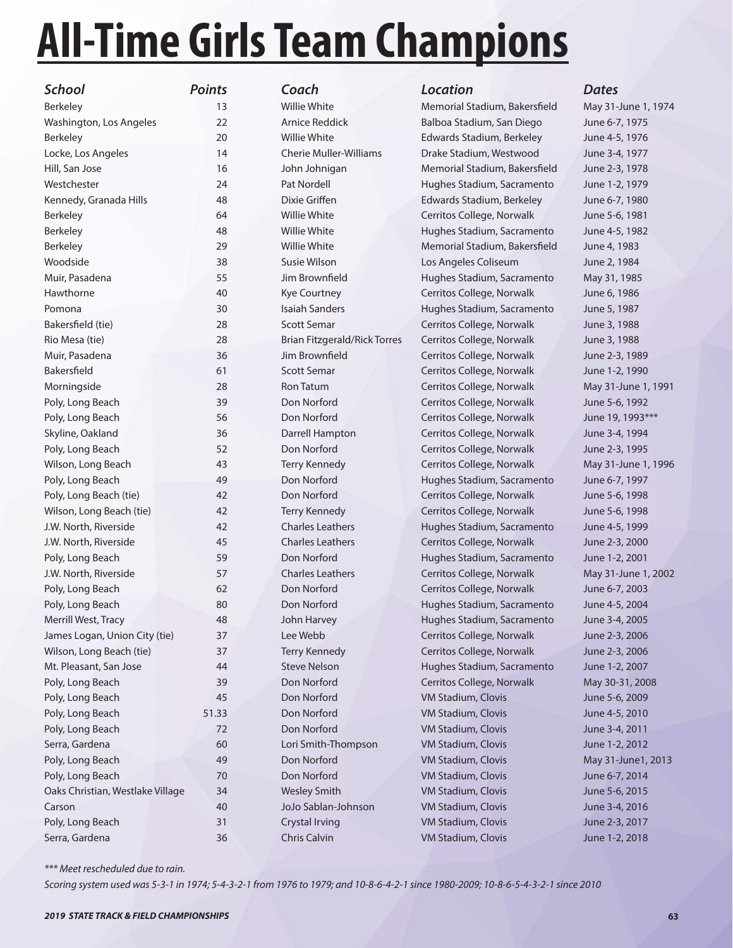# **All-Time Girls Team Champions**

| <b>School</b>                    | <b>Points</b> | Coach                               | <b>Location</b>               | <b>Dates</b> |
|----------------------------------|---------------|-------------------------------------|-------------------------------|--------------|
| Berkeley                         | 13            | Willie White                        | Memorial Stadium, Bakersfield | May 31-      |
| Washington, Los Angeles          | 22            | Arnice Reddick                      | Balboa Stadium, San Diego     | June 6-7     |
| <b>Berkeley</b>                  | 20            | <b>Willie White</b>                 | Edwards Stadium, Berkeley     | June 4-      |
| Locke, Los Angeles               | 14            | <b>Cherie Muller-Williams</b>       | Drake Stadium, Westwood       | June 3-4     |
| Hill, San Jose                   | 16            | John Johnigan                       | Memorial Stadium, Bakersfield | June 2-3     |
| Westchester                      | 24            | Pat Nordell                         | Hughes Stadium, Sacramento    | June 1-2     |
| Kennedy, Granada Hills           | 48            | Dixie Griffen                       | Edwards Stadium, Berkeley     | June 6-7     |
| <b>Berkeley</b>                  | 64            | Willie White                        | Cerritos College, Norwalk     | June 5-6     |
| Berkeley                         | 48            | Willie White                        | Hughes Stadium, Sacramento    | June 4-      |
| <b>Berkeley</b>                  | 29            | Willie White                        | Memorial Stadium, Bakersfield | June 4,      |
| Woodside                         | 38            | Susie Wilson                        | Los Angeles Coliseum          | June 2,      |
| Muir, Pasadena                   | 55            | Jim Brownfield                      | Hughes Stadium, Sacramento    | May 31,      |
| Hawthorne                        | 40            | <b>Kye Courtney</b>                 | Cerritos College, Norwalk     | June 6,      |
| Pomona                           | 30            | <b>Isaiah Sanders</b>               | Hughes Stadium, Sacramento    | June 5,      |
| Bakersfield (tie)                | 28            | <b>Scott Semar</b>                  | Cerritos College, Norwalk     | June 3,      |
| Rio Mesa (tie)                   | 28            | <b>Brian Fitzgerald/Rick Torres</b> | Cerritos College, Norwalk     | June 3,      |
| Muir, Pasadena                   | 36            | Jim Brownfield                      | Cerritos College, Norwalk     | June 2-3     |
| Bakersfield                      | 61            | <b>Scott Semar</b>                  | Cerritos College, Norwalk     | June 1-2     |
| Morningside                      | 28            | Ron Tatum                           | Cerritos College, Norwalk     | May 31-      |
| Poly, Long Beach                 | 39            | Don Norford                         | Cerritos College, Norwalk     | June 5-6     |
| Poly, Long Beach                 | 56            | Don Norford                         | Cerritos College, Norwalk     | June 19      |
| Skyline, Oakland                 | 36            | Darrell Hampton                     | Cerritos College, Norwalk     | June 3-4     |
| Poly, Long Beach                 | 52            | Don Norford                         | Cerritos College, Norwalk     | June 2-3     |
| Wilson, Long Beach               | 43            | <b>Terry Kennedy</b>                | Cerritos College, Norwalk     | May 31-      |
| Poly, Long Beach                 | 49            | Don Norford                         | Hughes Stadium, Sacramento    | June 6-7     |
| Poly, Long Beach (tie)           | 42            | Don Norford                         | Cerritos College, Norwalk     | June 5-6     |
| Wilson, Long Beach (tie)         | 42            | Terry Kennedy                       | Cerritos College, Norwalk     | June 5-6     |
| J.W. North, Riverside            | 42            | <b>Charles Leathers</b>             | Hughes Stadium, Sacramento    | June 4-      |
| J.W. North, Riverside            | 45            | <b>Charles Leathers</b>             | Cerritos College, Norwalk     | June 2-3     |
| Poly, Long Beach                 | 59            | Don Norford                         | Hughes Stadium, Sacramento    | June 1-2     |
| J.W. North, Riverside            | 57            | <b>Charles Leathers</b>             | Cerritos College, Norwalk     | May 31-      |
| Poly, Long Beach                 | 62            | Don Norford                         | Cerritos College, Norwalk     | June 6-7     |
| Poly, Long Beach                 | 80            | Don Norford                         | Hughes Stadium, Sacramento    | June 4-      |
| Merrill West, Tracy              | 48            | John Harvey                         | Hughes Stadium, Sacramento    | June 3-4     |
| James Logan, Union City (tie)    | 37            | Lee Webb                            | Cerritos College, Norwalk     | June 2-3     |
| Wilson, Long Beach (tie)         | 37            | <b>Terry Kennedy</b>                | Cerritos College, Norwalk     | June 2-3     |
| Mt. Pleasant, San Jose           | 44            | <b>Steve Nelson</b>                 | Hughes Stadium, Sacramento    | June 1-2     |
| Poly, Long Beach                 | 39            | Don Norford                         | Cerritos College, Norwalk     | May 30-      |
| Poly, Long Beach                 | 45            | Don Norford                         | VM Stadium, Clovis            | June 5-6     |
| Poly, Long Beach                 | 51.33         | Don Norford                         | VM Stadium, Clovis            | June 4-      |
| Poly, Long Beach                 | 72            | Don Norford                         | VM Stadium, Clovis            | June 3-4     |
| Serra, Gardena                   | 60            | Lori Smith-Thompson                 | VM Stadium, Clovis            | June 1-2     |
| Poly, Long Beach                 | 49            | Don Norford                         | VM Stadium, Clovis            | May 31-      |
| Poly, Long Beach                 | 70            | Don Norford                         | VM Stadium, Clovis            | June 6-7     |
| Oaks Christian, Westlake Village | 34            | <b>Wesley Smith</b>                 | VM Stadium, Clovis            | June 5-6     |
| Carson                           | 40            | JoJo Sablan-Johnson                 | VM Stadium, Clovis            | June 3-4     |
| Poly, Long Beach                 | 31            | <b>Crystal Irving</b>               | VM Stadium, Clovis            | June 2-3     |
|                                  |               |                                     |                               |              |

Willie White **Memorial Stadium, Bakersfield** May 31-June 1, 1974 Arnice Reddick Balboa Stadium, San Diego June 6-7, 1975 Willie White **20 Edwards Stadium, Berkeley** June 4-5, 1976 Cherie Muller-Williams Drake Stadium, Westwood June 3-4, 1977 John Johnigan Memorial Stadium, Bakersfield June 2-3, 1978 Pat Nordell **Hughes Stadium, Sacramento** June 1-2, 1979 Dixie Griffen Edwards Stadium, Berkeley June 6-7, 1980 Willie White Cerritos College, Norwalk June 5-6, 1981 Willie White **Hughes Stadium, Sacramento** June 4-5, 1982 Berkeley 29 Willie White Memorial Stadium, Bakersfi eld June 4, 1983 Susie Wilson Los Angeles Coliseum June 2, 1984 Jim Brownfield **Figure 31 Hughes Stadium, Sacramento** May 31, 1985 Kye Courtney **Cerritos College, Norwalk** June 6, 1986 Isaiah Sanders **Pomona 20 Isaiah Sanders Pomona 30 Isaiah Sanders Pomona 20 Isaa** Bakersfi eld (tie) 28 Scott Semar Cerritos College, Norwalk June 3, 1988 Brian Fitzgerald/Rick Torres Cerritos College, Norwalk June 3, 1988 Jim Brownfield **36 Cerritos College, Norwalk** June 2-3, 1989 Scott Semar Cerritos College, Norwalk June 1-2, 1990 Ron Tatum **Cerritos College, Norwalk** May 31-June 1, 1991 Pon Norford Cerritos College, Norwalk June 5-6, 1992 Pon Norford **Election Cerritos College, Norwalk** June 19, 1993<sup>\*\*\*</sup> Darrell Hampton Cerritos College, Norwalk June 3-4, 1994 Pon Norford **Example 2-3, 1995** Cerritos College, Norwalk June 2-3, 1995 Terry Kennedy **Cerritos College, Norwalk** May 31-June 1, 1996 Pon Norford **Hughes Stadium, Sacramento** June 6-7, 1997 Poly, Don Norford **Cerritos College, Norwalk** June 5-6, 1998 Terry Kennedy **Cerritos College, Norwalk** June 5-6, 1998 Charles Leathers **Hughes Stadium, Sacramento** June 4-5, 1999 J.W. North, Riverside 45 Charles Leathers Cerritos College, Norwalk June 2-3, 2000 Pon Norford **Example Beach 5** Hughes Stadium, Sacramento June 1-2, 2001 Charles Leathers **Charles Leathers** Cerritos College, Norwalk May 31-June 1, 2002 Pon Norford Cerritos College, Norwalk June 6-7, 2003 Pon Norford **Beach 80 Hughes Stadium, Sacramento** June 4-5, 2004 John Harvey **Merrill Hughes Stadium, Sacramento** June 3-4, 2005 Lee Webb **Cerritos College, Norwalk** June 2-3, 2006 Terry Kennedy **Cerritos College, Norwalk** June 2-3, 2006 Steve Nelson **Mughes Stadium, Sacramento** June 1-2, 2007 Poly, Don Norford **Propertion Cerritos College, Norwalk** May 30-31, 2008 Pon Norford **VM Stadium, Clovis** June 5-6, 2009 Poly, Norford **Example 31.33 VM Stadium, Clovis** June 4-5, 2010 Pon Norford **VM Stadium, Clovis** June 3-4, 2011 Lori Smith-Thompson VM Stadium, Clovis June 1-2, 2012 Poly, Norford **Example 2013** VM Stadium, Clovis May 31-June1, 2013 Pon Norford VM Stadium, Clovis June 6-7, 2014 Oaks Christian, Westlake Village 34 Wesley Smith VM Stadium, Clovis June 5-6, 2015 JoJo Sablan-Johnson VM Stadium, Clovis June 3-4, 2016 Polystal Irving **Polynomia Crystal Irving Crystal Irving Crystal Irving VM Stadium, Clovis Crystal Irving 2-3, 2017** Serra, Gardena 36 Chris Calvin VM Stadium, Clovis June 1-2, 2018

\*\*\* Meet rescheduled due to rain.

Scoring system used was 5-3-1 in 1974; 5-4-3-2-1 from 1976 to 1979; and 10-8-6-4-2-1 since 1980-2009; 10-8-6-5-4-3-2-1 since 2010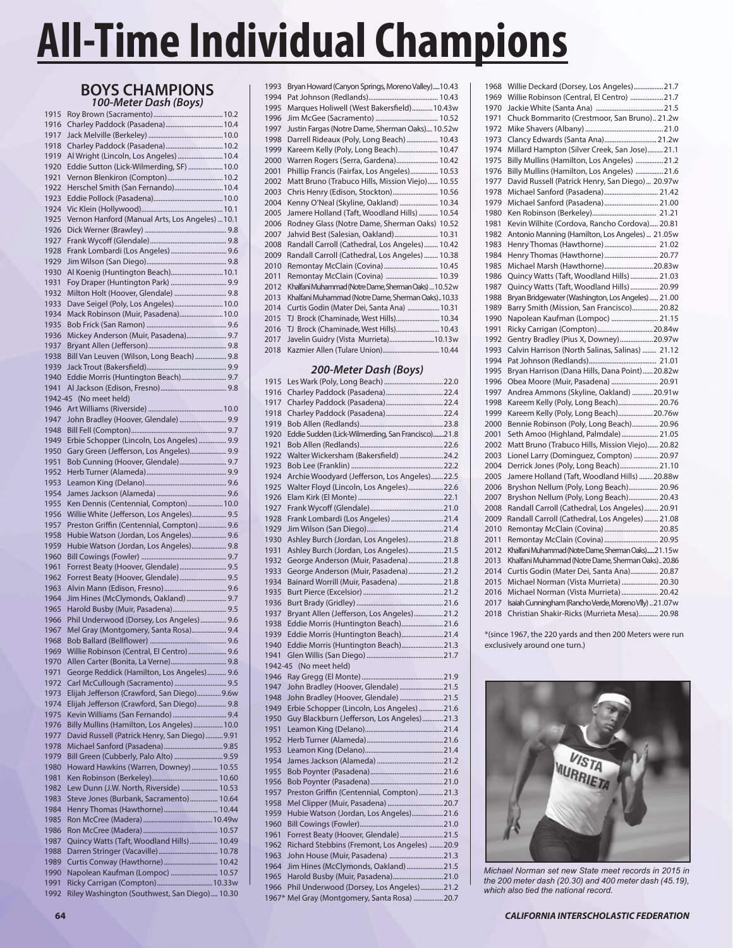# **BOYS CHAMPIONS** *100-Meter Dash (Boys)*

| 1916         | Charley Paddock (Pasadena) 10.4                                                             |
|--------------|---------------------------------------------------------------------------------------------|
| 1917         |                                                                                             |
| 1918         | Charley Paddock (Pasadena) 10.2<br>Al Wright (Lincoln, Los Angeles)  10.4                   |
| 1919<br>1920 | Eddie Sutton (Lick-Wilmerding, SF)  10.0                                                    |
| 1921         | Vernon Blenkiron (Compton) 10.2                                                             |
| 1922         | Herschel Smith (San Fernando) 10.4                                                          |
| 1923         |                                                                                             |
| 1924         |                                                                                             |
| 1925         | Vernon Hanford (Manual Arts, Los Angeles)  10.1                                             |
| 1926         |                                                                                             |
| 1927         |                                                                                             |
| 1928<br>1929 | Frank Lombardi (Los Angeles)  9.6                                                           |
| 1930         | Al Koenig (Huntington Beach) 10.1                                                           |
| 1931         | Foy Draper (Huntington Park)  9.9                                                           |
| 1932         | Milton Holt (Hoover, Glendale)  9.8                                                         |
| 1933         | Dave Seigel (Poly, Los Angeles) 10.0                                                        |
| 1934         | Mack Robinson (Muir, Pasadena) 10.0                                                         |
| 1935         |                                                                                             |
| 1936<br>1937 | Mickey Anderson (Muir, Pasadena) 9.7                                                        |
| 1938         | Bill Van Leuven (Wilson, Long Beach)  9.8                                                   |
| 1939         |                                                                                             |
| 1940         | Eddie Morris (Huntington Beach) 9.7                                                         |
| 1941         |                                                                                             |
| 1942-45      | (No meet held)                                                                              |
| 1946         |                                                                                             |
| 1947         | John Bradley (Hoover, Glendale)  9.9                                                        |
| 1948<br>1949 | Erbie Schopper (Lincoln, Los Angeles)  9.9                                                  |
| 1950         | Gary Green (Jefferson, Los Angeles) 9.9                                                     |
| 1951         | Bob Cunning (Hoover, Glendale) 9.7                                                          |
| 1952         |                                                                                             |
| 1953         |                                                                                             |
| 1954         |                                                                                             |
| 1955         | Ken Dennis (Centennial, Compton) 10.0                                                       |
| 1956<br>1957 | Willie White (Jefferson, Los Angeles) 9.5<br>Preston Griffin (Centennial, Compton) 9.6      |
| 1958         | Hubie Watson (Jordan, Los Angeles) 9.6                                                      |
|              |                                                                                             |
|              |                                                                                             |
| 1959<br>1960 | Hubie Watson (Jordan, Los Angeles) 9.8                                                      |
| 1961         | Forrest Beaty (Hoover, Glendale)  9.5                                                       |
| 1962         | Forrest Beaty (Hoover, Glendale) 9.5                                                        |
| 1963         |                                                                                             |
| 1964         | Jim Hines (McClymonds, Oakland)  9.7                                                        |
| 1965         | Harold Busby (Muir, Pasadena) 9.5                                                           |
| 1966         | Phil Underwood (Dorsey, Los Angeles) 9.6                                                    |
| 1967<br>1968 | Mel Gray (Montgomery, Santa Rosa) 9.4                                                       |
| 1969         | Willie Robinson (Central, El Centro)  9.6                                                   |
| 1970         | Allen Carter (Bonita, La Verne) 9.8                                                         |
| 1971         | George Reddick (Hamilton, Los Angeles) 9.6                                                  |
| 1972         | Carl McCullough (Sacramento)  9.5                                                           |
| 1973         | Elijah Jefferson (Crawford, San Diego)9.6w                                                  |
| 1974         | Elijah Jefferson (Crawford, San Diego) 9.8                                                  |
| 1975         | Kevin Williams (San Fernando) 9.4                                                           |
| 1976<br>1977 | Billy Mullins (Hamilton, Los Angeles) 10.0<br>David Russell (Patrick Henry, San Diego) 9.91 |
| 1978         |                                                                                             |
| 1979         | Bill Green (Cubberly, Palo Alto)  9.59                                                      |
| 1980         | Howard Hawkins (Warren, Downey)  10.55                                                      |
| 1981         |                                                                                             |
| 1982         | Lew Dunn (J.W. North, Riverside)  10.53                                                     |
| 1983<br>1984 | Steve Jones (Burbank, Sacramento) 10.64<br>Henry Thomas (Hawthorne) 10.44                   |
| 1985         |                                                                                             |
| 1986         |                                                                                             |
| 1987         | Quincy Watts (Taft, Woodland Hills)  10.49                                                  |
| 1988         |                                                                                             |
| 1989         | Curtis Conway (Hawthorne) 10.42                                                             |
| 1990<br>1991 | Napolean Kaufman (Lompoc)  10.57<br>Ricky Carrigan (Compton) 10.33w                         |

| 1993 | Bryan Howard (Canyon Springs, Moreno Valley)10.43     |
|------|-------------------------------------------------------|
| 1994 |                                                       |
| 1995 | Marques Holiwell (West Bakersfield)10.43w             |
| 1996 |                                                       |
| 1997 | Justin Fargas (Notre Dame, Sherman Oaks) 10.52w       |
| 1998 | Darrell Rideaux (Poly, Long Beach)  10.43             |
| 1999 | Kareem Kelly (Poly, Long Beach) 10.47                 |
| 2000 | Warren Rogers (Serra, Gardena) 10.42                  |
| 2001 | Phillip Francis (Fairfax, Los Angeles) 10.53          |
| 2002 | Matt Bruno (Trabuco Hills, Mission Viejo) 10.55       |
| 2003 | Chris Henry (Edison, Stockton) 10.56                  |
| 2004 | Kenny O'Neal (Skyline, Oakland)  10.34                |
| 2005 | Jamere Holland (Taft, Woodland Hills)  10.54          |
| 2006 | Rodney Glass (Notre Dame, Sherman Oaks) 10.52         |
| 2007 | Jahvid Best (Salesian, Oakland) 10.31                 |
| 2008 | Randall Carroll (Cathedral, Los Angeles)  10.42       |
| 2009 | Randall Carroll (Cathedral, Los Angeles)  10.38       |
| 2010 | Remontay McClain (Covina)  10.45                      |
| 2011 | Remontay McClain (Covina)  10.39                      |
| 2012 | Khalfani Muhammad (Notre Dame, Sherman Oaks)  10.52 w |
| 2013 | Khalfani Muhammad (Notre Dame, Sherman Oaks)10.33     |
| 2014 | Curtis Godin (Mater Dei, Santa Ana)  10.31            |
| 2015 | TJ Brock (Chaminade, West Hills) 10.34                |
| 2016 | TJ Brock (Chaminade, West Hills) 10.43                |
| 2017 | Javelin Guidry (Vista Murrieta)10.13w                 |
| 2018 |                                                       |
|      |                                                       |

#### *200-Meter Dash (Boys)*

| 1915    |                                                   |  |
|---------|---------------------------------------------------|--|
| 1916    | Charley Paddock (Pasadena) 22.4                   |  |
| 1917    | Charley Paddock (Pasadena) 22.4                   |  |
| 1918    | Charley Paddock (Pasadena) 22.4                   |  |
| 1919    |                                                   |  |
| 1920    | Eddie Sudden (Lick-Wilmerding, San Francisco)21.8 |  |
| 1921    |                                                   |  |
| 1922    | Walter Wickersham (Bakersfield)  24.2             |  |
| 1923    |                                                   |  |
| 1924    | Archie Woodyard (Jefferson, Los Angeles)22.5      |  |
| 1925    | Walter Floyd (Lincoln, Los Angeles)22.6           |  |
| 1926    |                                                   |  |
| 1927    |                                                   |  |
| 1928    | Frank Lombardi (Los Angeles)  21.4                |  |
| 1929    |                                                   |  |
| 1930    | Ashley Burch (Jordan, Los Angeles)21.8            |  |
| 1931    | Ashley Burch (Jordan, Los Angeles)21.5            |  |
| 1932    | George Anderson (Muir, Pasadena)21.8              |  |
| 1933    | George Anderson (Muir, Pasadena)21.2              |  |
| 1934    | Bainard Worrill (Muir, Pasadena)21.8              |  |
| 1935    |                                                   |  |
| 1936    |                                                   |  |
| 1937    | Bryant Allen (Jefferson, Los Angeles)21.2         |  |
| 1938    | Eddie Morris (Huntington Beach)21.6               |  |
| 1939    | Eddie Morris (Huntington Beach)21.4               |  |
| 1940    | Eddie Morris (Huntington Beach)21.3               |  |
| 1941    |                                                   |  |
| 1942-45 | (No meet held)                                    |  |
| 1946    |                                                   |  |
| 1947    | John Bradley (Hoover, Glendale)  21.5             |  |
| 1948    | John Bradley (Hoover, Glendale)  21.5             |  |
| 1949    | Erbie Schopper (Lincoln, Los Angeles) 21.6        |  |
| 1950    | Guy Blackburn (Jefferson, Los Angeles)21.3        |  |
| 1951    |                                                   |  |
| 1952    |                                                   |  |
| 1953    |                                                   |  |
| 1954    |                                                   |  |
| 1955    |                                                   |  |
| 1956    |                                                   |  |
| 1957    | Preston Griffin (Centennial, Compton)21.3         |  |
| 1958    | Mel Clipper (Muir, Pasadena)  20.7                |  |
| 1959    | Hubie Watson (Jordan, Los Angeles)21.6            |  |
| 1960    |                                                   |  |
| 1961    | Forrest Beaty (Hoover, Glendale)21.5              |  |
| 1962    | Richard Stebbins (Fremont, Los Angeles) 20.9      |  |
| 1963    | John House (Muir, Pasadena)  21.3                 |  |
| 1964    | Jim Hines (McClymonds, Oakland)21.5               |  |
| 1965    | Harold Busby (Muir, Pasadena) 21.0                |  |
| 1966    | Phil Underwood (Dorsey, Los Angeles)  21.2        |  |
| 1967*   | Mel Gray (Montgomery, Santa Rosa) 20.7            |  |

| 1968 | Willie Deckard (Dorsey, Los Angeles) 21.7             |
|------|-------------------------------------------------------|
| 1969 | Willie Robinson (Central, El Centro) 21.7             |
| 1970 |                                                       |
| 1971 | Chuck Bommarito (Crestmoor, San Bruno) 21.2w          |
| 1972 |                                                       |
| 1973 | Clancy Edwards (Santa Ana) 21.2w                      |
| 1974 | Millard Hampton (Silver Creek, San Jose)21.1          |
| 1975 | Billy Mullins (Hamilton, Los Angeles) 21.2            |
| 1976 | Billy Mullins (Hamilton, Los Angeles) 21.6            |
| 1977 | David Russell (Patrick Henry, San Diego) 20.97w       |
| 1978 | Michael Sanford (Pasadena) 21.42                      |
| 1979 | Michael Sanford (Pasadena) 21.00                      |
| 1980 |                                                       |
| 1981 | Kevin Wilhite (Cordova, Rancho Cordova) 20.81         |
| 1982 | Antonio Manning (Hamilton, Los Angeles)  21.05w       |
| 1983 | Henry Thomas (Hawthorne) 21.02                        |
| 1984 | Henry Thomas (Hawthorne) 20.77                        |
| 1985 | Michael Marsh (Hawthorne) 20.83w                      |
| 1986 | Quincy Watts (Taft, Woodland Hills)  21.03            |
| 1987 | Quincy Watts (Taft, Woodland Hills)  20.99            |
| 1988 | Bryan Bridgewater (Washington, Los Angeles)  21.00    |
| 1989 | Barry Smith (Mission, San Francisco) 20.82            |
| 1990 | Napolean Kaufman (Lompoc)  21.15                      |
| 1991 | Ricky Carrigan (Compton) 20.84w                       |
| 1992 | Gentry Bradley (Pius X, Downey)20.97w                 |
| 1993 | Calvin Harrison (North Salinas, Salinas)  21.12       |
| 1994 |                                                       |
| 1995 | Bryan Harrison (Dana Hills, Dana Point)20.82w         |
| 1996 | Obea Moore (Muir, Pasadena)  20.91                    |
| 1997 | Andrea Ammons (Skyline, Oakland)  20.91w              |
| 1998 | Kareem Kelly (Poly, Long Beach) 20.76                 |
| 1999 | Kareem Kelly (Poly, Long Beach) 20.76w                |
| 2000 | Bennie Robinson (Poly, Long Beach) 20.96              |
| 2001 | Seth Amoo (Highland, Palmdale) 21.05                  |
| 2002 | Matt Bruno (Trabuco Hills, Mission Viejo) 20.82       |
| 2003 | Lionel Larry (Dominguez, Compton)  20.97              |
| 2004 | Derrick Jones (Poly, Long Beach) 21.10                |
| 2005 | Jamere Holland (Taft, Woodland Hills)  20.88w         |
| 2006 | Bryshon Nellum (Poly, Long Beach) 20.96               |
| 2007 | Bryshon Nellum (Poly, Long Beach) 20.43               |
| 2008 | Randall Carroll (Cathedral, Los Angeles) 20.91        |
| 2009 | Randall Carroll (Cathedral, Los Angeles)  21.08       |
| 2010 | Remontay McClain (Covina)  20.85                      |
| 2011 | Remontay McClain (Covina)  20.95                      |
| 2012 | Khalfani Muhammad (Notre Dame, Sherman Oaks)21.15w    |
| 2013 | Khalfani Muhammad (Notre Dame, Sherman Oaks) 20.86    |
| 2014 | Curtis Godin (Mater Dei, Santa Ana) 20.87             |
| 2015 | Michael Norman (Vista Murrieta)  20.30                |
| 2016 | Michael Norman (Vista Murrieta)  20.42                |
| 2017 | Isaiah Cunningham (Rancho Verde, Moreno VIIy)  21.07w |
| 2018 | Christian Shakir-Ricks (Murrieta Mesa) 20.98          |

\*(since 1967, the 220 yards and then 200 Meters were run exclusively around one turn.)



*Michael Norman set new State meet records in 2015 in the 200 meter dash (20.30) and 400 meter dash (45.19), which also tied the national record.*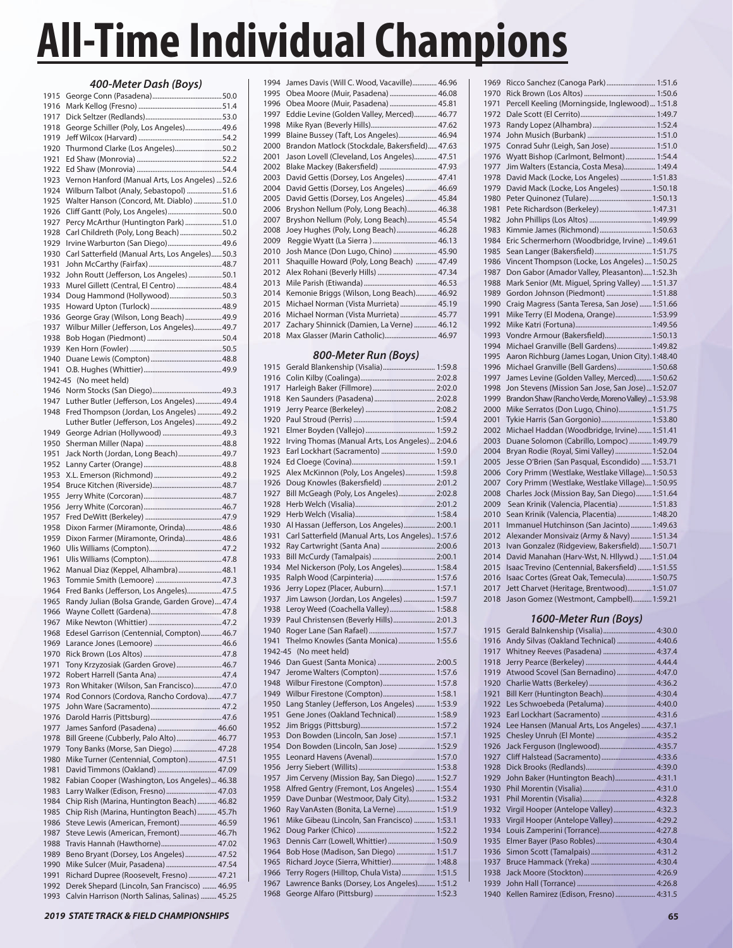|              | 400-Meter Dash (Boys)                                                                |  |
|--------------|--------------------------------------------------------------------------------------|--|
| 1915         |                                                                                      |  |
| 1916         |                                                                                      |  |
| 1917         |                                                                                      |  |
| 1918<br>1919 | George Schiller (Poly, Los Angeles) 49.6                                             |  |
| 1920         | Thurmond Clarke (Los Angeles)50.2                                                    |  |
| 1921         |                                                                                      |  |
| 1922         |                                                                                      |  |
| 1923         | Vernon Hanford (Manual Arts, Los Angeles)  52.6                                      |  |
| 1924         | Wilburn Talbot (Analy, Sebastopol) 51.6                                              |  |
| 1925         | Walter Hanson (Concord, Mt. Diablo) 51.0                                             |  |
| 1926<br>1927 | Cliff Gantt (Poly, Los Angeles)50.0<br>Percy McArthur (Huntington Park) 51.0         |  |
| 1928         | Carl Childreth (Poly, Long Beach) 50.2                                               |  |
| 1929         | Irvine Warburton (San Diego) 49.6                                                    |  |
| 1930         | Carl Satterfield (Manual Arts, Los Angeles)50.3                                      |  |
| 1931         |                                                                                      |  |
| 1932         | John Routt (Jefferson, Los Angeles) 50.1                                             |  |
| 1933<br>1934 | Murel Gillett (Central, El Centro)  48.4<br>Doug Hammond (Hollywood)50.3             |  |
| 1935         |                                                                                      |  |
| 1936         | George Gray (Wilson, Long Beach)  49.9                                               |  |
| 1937         | Wilbur Miller (Jefferson, Los Angeles) 49.7                                          |  |
| 1938         |                                                                                      |  |
| 1939         |                                                                                      |  |
| 1940<br>1941 |                                                                                      |  |
| 1942-45      | (No meet held)                                                                       |  |
| 1946         |                                                                                      |  |
| 1947         | Luther Butler (Jefferson, Los Angeles)  49.4                                         |  |
| 1948         | Fred Thompson (Jordan, Los Angeles)  49.2                                            |  |
|              | Luther Butler (Jefferson, Los Angeles)  49.2                                         |  |
| 1949<br>1950 |                                                                                      |  |
| 1951         | Jack North (Jordan, Long Beach)49.7                                                  |  |
| 1952         |                                                                                      |  |
| 1953         |                                                                                      |  |
| 1954         |                                                                                      |  |
| 1955         |                                                                                      |  |
| 1956<br>1957 |                                                                                      |  |
| 1958         | Dixon Farmer (Miramonte, Orinda)48.6                                                 |  |
| 1959         | Dixon Farmer (Miramonte, Orinda)48.6                                                 |  |
| 1960         |                                                                                      |  |
| 1961         |                                                                                      |  |
| 1962<br>1963 | Manual Diaz (Keppel, Alhambra)  48.1                                                 |  |
| 1964         | Fred Banks (Jefferson, Los Angeles) 47.5                                             |  |
| 1965         | Randy Julian (Bolsa Grande, Garden Grove)47.4                                        |  |
| 1966         |                                                                                      |  |
| 1967         |                                                                                      |  |
| 1968         | Edesel Garrison (Centennial, Compton) 46.7                                           |  |
| 1969<br>1970 |                                                                                      |  |
| 1971         | Tony Krzyzosiak (Garden Grove)  46.7                                                 |  |
| 1972         |                                                                                      |  |
| 1973         | Ron Whitaker (Wilson, San Francisco)47.0                                             |  |
| 1974         | Rod Connors (Cordova, Rancho Cordova) 47.7                                           |  |
| 1975         |                                                                                      |  |
| 1976<br>1977 | James Sanford (Pasadena)  46.60                                                      |  |
| 1978         | Bill Greene (Cubberly, Palo Alto) 46.77                                              |  |
| 1979         | Tony Banks (Morse, San Diego)  47.28                                                 |  |
| 1980         | Mike Turner (Centennial, Compton)  47.51                                             |  |
| 1981         | David Timmons (Oakland)  47.09                                                       |  |
| 1982         | Fabian Cooper (Washington, Los Angeles) 46.38<br>Larry Walker (Edison, Fresno) 47.03 |  |
| 1983<br>1984 | Chip Rish (Marina, Huntington Beach)  46.82                                          |  |
| 1985         | Chip Rish (Marina, Huntington Beach)  45.7h                                          |  |
| 1986         | Steve Lewis (American, Fremont) 46.59                                                |  |
| 1987         | Steve Lewis (American, Fremont) 46.7h                                                |  |
| 1988         | Travis Hannah (Hawthorne) 47.02                                                      |  |
| 1989<br>1990 | Beno Bryant (Dorsey, Los Angeles)  47.52<br>Mike Sulcer (Muir, Pasadena)  47.54      |  |
| 1991         | Richard Dupree (Roosevelt, Fresno)  47.21                                            |  |
| 1992         | Derek Shepard (Lincoln, San Francisco)  46.95                                        |  |

| 1994 | James Davis (Will C. Wood, Vacaville) 46.96     |
|------|-------------------------------------------------|
| 1995 | Obea Moore (Muir, Pasadena)  46.08              |
| 1996 | Obea Moore (Muir, Pasadena)  45.81              |
| 1997 | Eddie Levine (Golden Valley, Merced) 46.77      |
| 1998 |                                                 |
| 1999 | Blaine Bussey (Taft, Los Angeles) 46.94         |
| 2000 | Brandon Matlock (Stockdale, Bakersfield) 47.63  |
| 2001 | Jason Lovell (Cleveland, Los Angeles) 47.51     |
| 2002 | Blake Mackey (Bakersfield)  47.93               |
| 2003 | David Gettis (Dorsey, Los Angeles)  47.41       |
| 2004 | David Gettis (Dorsey, Los Angeles)  46.69       |
| 2005 | David Gettis (Dorsey, Los Angeles)  45.84       |
| 2006 | Bryshon Nellum (Poly, Long Beach) 46.38         |
| 2007 | Bryshon Nellum (Poly, Long Beach) 45.54         |
| 2008 | Joey Hughes (Poly, Long Beach)  46.28           |
| 2009 |                                                 |
| 2010 | Josh Mance (Don Lugo, Chino)  45.90             |
| 2011 | Shaquille Howard (Poly, Long Beach)  47.49      |
| 2012 |                                                 |
| 2013 |                                                 |
| 2014 | Kemonie Briggs (Wilson, Long Beach) 46.92       |
| 2015 | Michael Norman (Vista Murrieta)  45.19          |
| 2016 | Michael Norman (Vista Murrieta)  45.77          |
| 2017 | Zachary Shinnick (Damien, La Verne)  46.12      |
| 2018 | Max Glasser (Marin Catholic) 46.97              |
|      |                                                 |
|      | 800-Meter Run (Boys)                            |
| 1915 | Gerald Blankenship (Visalia) 1:59.8             |
| 1916 |                                                 |
| 1917 |                                                 |
| 1918 |                                                 |
| 1919 |                                                 |
| 1920 |                                                 |
| 1921 |                                                 |
| 1922 | Irving Thomas (Manual Arts, Los Angeles) 2:04.6 |
| 1923 | Earl Lockhart (Sacramento)  1:59.0              |
| 1924 |                                                 |
| 1925 | Alex McKinnon (Poly, Los Angeles) 1:59.8        |
| 1076 | $Doug$ Knowles (Rakersfield) $2.012$            |

| 1919    |                                                    |  |
|---------|----------------------------------------------------|--|
| 1920    |                                                    |  |
| 1921    |                                                    |  |
| 1922    | Irving Thomas (Manual Arts, Los Angeles) 2:04.6    |  |
| 1923    | Earl Lockhart (Sacramento)  1:59.0                 |  |
| 1924    |                                                    |  |
| 1925    | Alex McKinnon (Poly, Los Angeles) 1:59.8           |  |
| 1926    | Doug Knowles (Bakersfield)  2:01.2                 |  |
| 1927    | Bill McGeagh (Poly, Los Angeles) 2:02.8            |  |
| 1928    |                                                    |  |
| 1929    |                                                    |  |
| 1930    | Al Hassan (Jefferson, Los Angeles) 2:00.1          |  |
| 1931    | Carl Satterfield (Manual Arts, Los Angeles) 1:57.6 |  |
| 1932    | Ray Cartwright (Santa Ana)  2:00.6                 |  |
| 1933    |                                                    |  |
| 1934    | Mel Nickerson (Poly, Los Angeles) 1:58.4           |  |
| 1935    |                                                    |  |
| 1936    | Jerry Lopez (Placer, Auburn) 1:57.1                |  |
| 1937    | Jim Lawson (Jordan, Los Angeles)  1:59.7           |  |
| 1938    | Leroy Weed (Coachella Valley)  1:58.8              |  |
| 1939    | Paul Christensen (Beverly Hills)  2:01.3           |  |
| 1940    |                                                    |  |
| 1941    | Thelmo Knowles (Santa Monica)  1:55.6              |  |
| 1942-45 | (No meet held)                                     |  |
| 1946    |                                                    |  |
| 1947    | Jerome Walters (Compton) 1:57.6                    |  |
| 1948    | Wilbur Firestone (Compton) 1:57.8                  |  |
| 1949    | Wilbur Firestone (Compton) 1:58.1                  |  |
| 1950    | Lang Stanley (Jefferson, Los Angeles)  1:53.9      |  |
| 1951    | Gene Jones (Oakland Technical)  1:58.9             |  |
| 1952    |                                                    |  |
| 1953    | Don Bowden (Lincoln, San Jose)  1:57.1             |  |
| 1954    | Don Bowden (Lincoln, San Jose)  1:52.9             |  |
| 1955    |                                                    |  |
| 1956    |                                                    |  |
| 1957    | Jim Cerveny (Mission Bay, San Diego)  1:52.7       |  |
| 1958    | Alfred Gentry (Fremont, Los Angeles)  1:55.4       |  |
| 1959    | Dave Dunbar (Westmoor, Daly City) 1:53.2           |  |
| 1960    | Ray VanAsten (Bonita, La Verne)  1:51.9            |  |
| 1961    | Mike Gibeau (Lincoln, San Francisco)  1:53.1       |  |
| 1962    |                                                    |  |
| 1963    | Dennis Carr (Lowell, Whittier)  1:50.9             |  |
| 1964    | Bob Hose (Madison, San Diego)  1:51.7              |  |
| 1965    | Richard Joyce (Sierra, Whittier) 1:48.8            |  |
| 1966    | Terry Rogers (Hilltop, Chula Vista) 1:51.5         |  |
| 1967    |                                                    |  |
| 1968    | Lawrence Banks (Dorsey, Los Angeles) 1:51.2        |  |

| 1969 | Ricco Sanchez (Canoga Park) 1:51.6                  |
|------|-----------------------------------------------------|
| 1970 |                                                     |
| 1971 | Percell Keeling (Morningside, Inglewood)  1:51.8    |
| 1972 |                                                     |
| 1973 |                                                     |
| 1974 |                                                     |
| 1975 | Conrad Suhr (Leigh, San Jose)  1:51.0               |
| 1976 | Wyatt Bishop (Carlmont, Belmont)  1:54.4            |
| 1977 | Jim Walters (Estancia, Costa Mesa) 1:49.4           |
| 1978 | David Mack (Locke, Los Angeles)  1:51.83            |
| 1979 | David Mack (Locke, Los Angeles)  1:50.18            |
| 1980 |                                                     |
| 1981 | Pete Richardson (Berkeley)  1:47.31                 |
| 1982 |                                                     |
| 1983 | Kimmie James (Richmond) 1:50.63                     |
| 1984 | Eric Schermerhorn (Woodbridge, Irvine)  1:49.61     |
| 1985 | Sean Langer (Bakersfield) 1:51.75                   |
| 1986 | Vincent Thompson (Locke, Los Angeles)  1:50.25      |
| 1987 | Don Gabor (Amador Valley, Pleasanton)1:52.3h        |
| 1988 | Mark Senior (Mt. Miguel, Spring Valley)  1:51.37    |
| 1989 | Gordon Johnson (Piedmont)  1:51.88                  |
| 1990 | Craig Magress (Santa Teresa, San Jose)  1:51.66     |
| 1991 | Mike Terry (El Modena, Orange) 1:53.99              |
| 1992 |                                                     |
| 1993 | Vondre Armour (Bakersfield) 1:50.13                 |
| 1994 | Michael Granville (Bell Gardens) 1:49.82            |
| 1995 | Aaron Richburg (James Logan, Union City). 1:48.40   |
| 1996 | Michael Granville (Bell Gardens) 1:50.68            |
| 1997 | James Levine (Golden Valley, Merced) 1:50.62        |
| 1998 | Jon Stevens (Mission San Jose, San Jose) 1:52.07    |
| 1999 | Brandon Shaw (Rancho Verde, Moreno Valley)  1:53.98 |
| 2000 | Mike Serratos (Don Lugo, Chino) 1:51.75             |
| 2001 | Tykie Harris (San Gorgonio) 1:53.80                 |
| 2002 | Michael Haddan (Woodbridge, Irvine) 1:51.41         |
| 2003 | Duane Solomon (Cabrillo, Lompoc)  1:49.79           |
| 2004 | Bryan Rodie (Royal, Simi Valley)  1:52.04           |
| 2005 | Jesse O'Brien (San Pasqual, Escondido)  1:53.71     |
| 2006 | Cory Primm (Westlake, Westlake Village) 1:50.53     |
| 2007 | Cory Primm (Westlake, Westlake Village) 1:50.95     |
| 2008 | Charles Jock (Mission Bay, San Diego) 1:51.64       |
| 2009 | Sean Krinik (Valencia, Placentia)  1:51.83          |
| 2010 | Sean Krinik (Valencia, Placentia) 1:48.20           |
| 2011 | Immanuel Hutchinson (San Jacinto) 1:49.63           |
| 2012 | Alexander Monsivaiz (Army & Navy)  1:51.34          |
| 2013 | Ivan Gonzalez (Ridgeview, Bakersfield) 1:50.71      |
| 2014 | David Manahan (Harv-Wst, N. Hllywd.)  1:51.04       |
| 2015 | Isaac Trevino (Centennial, Bakersfield)  1:51.55    |
| 2016 | Isaac Cortes (Great Oak, Temecula) 1:50.75          |
| 2017 | Jett Charvet (Heritage, Brentwood) 1:51.07          |
| 2018 | Jason Gomez (Westmont, Campbell) 1:59.21            |

#### *1600-Meter Run (Boys)*

| 1915 | Gerald Balnkenship (Visalia) 4:30.0           |  |
|------|-----------------------------------------------|--|
| 1916 | Andy Silvas (Oakland Technical)  4:40.6       |  |
| 1917 | Whitney Reeves (Pasadena)  4:37.4             |  |
| 1918 |                                               |  |
| 1919 | Atwood Scovel (San Bernadino)  4:47.0         |  |
| 1920 |                                               |  |
| 1921 | Bill Kerr (Huntington Beach) 4:30.4           |  |
| 1922 | Les Schwoebeda (Petaluma)  4:40.0             |  |
| 1923 | Earl Lockhart (Sacramento)  4:31.6            |  |
| 1924 | Lee Hansen (Manual Arts, Los Angeles)  4:37.1 |  |
| 1925 |                                               |  |
| 1926 |                                               |  |
| 1927 | Cliff Halstead (Sacramento)  4:33.6           |  |
| 1928 |                                               |  |
| 1929 | John Baker (Huntington Beach) 4:31.1          |  |
| 1930 |                                               |  |
| 1931 |                                               |  |
| 1932 | Virgil Hooper (Antelope Valley) 4:32.3        |  |
| 1933 | Virgil Hooper (Antelope Valley)  4:29.2       |  |
| 1934 | Louis Zamperini (Torrance) 4:27.8             |  |
| 1935 |                                               |  |
| 1936 |                                               |  |
| 1937 |                                               |  |
| 1938 |                                               |  |
| 1939 |                                               |  |
| 1940 | Kellen Ramirez (Edison, Fresno)  4:31.5       |  |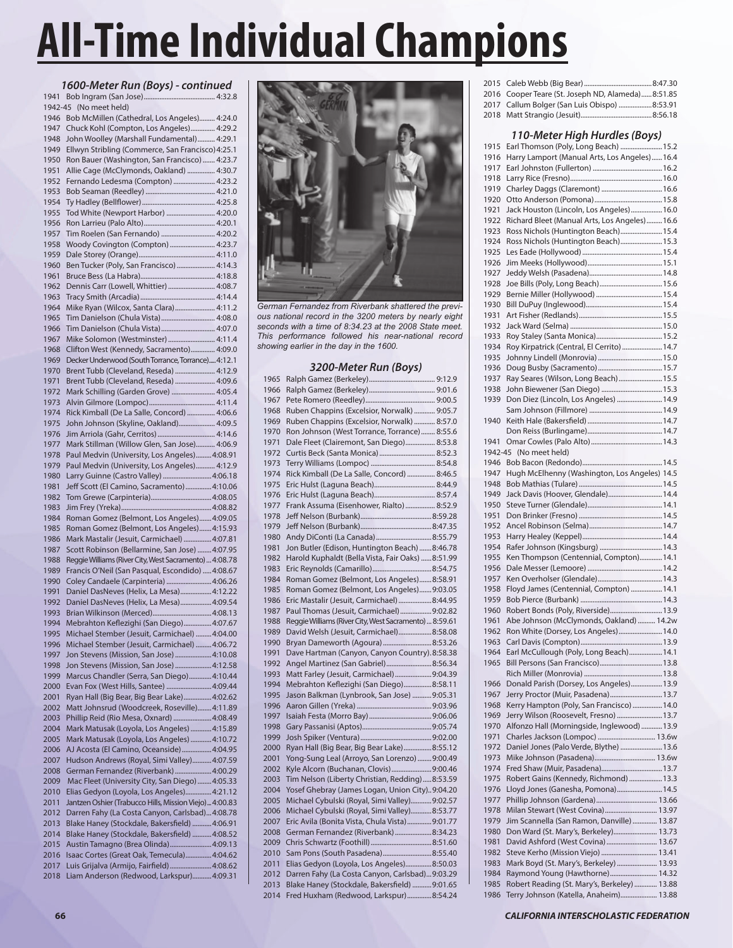### *1600-Meter Run (Boys) - continued*

| 1941    | $(100)$ $-1011$                                         |
|---------|---------------------------------------------------------|
| 1942-45 | (No meet held)                                          |
| 1946    | Bob McMillen (Cathedral, Los Angeles) 4:24.0            |
|         |                                                         |
| 1947    | Chuck Kohl (Compton, Los Angeles) 4:29.2                |
| 1948    | John Woolley (Marshall Fundamental) 4:29.1              |
| 1949    | Ellwyn Stribling (Commerce, San Francisco) 4:25.1       |
| 1950    | Ron Bauer (Washington, San Francisco)  4:23.7           |
| 1951    | Allie Cage (McClymonds, Oakland)  4:30.7                |
| 1952    | Fernando Ledesma (Compton)  4:23.2                      |
| 1953    |                                                         |
| 1954    |                                                         |
| 1955    | Tod White (Newport Harbor)  4:20.0                      |
| 1956    |                                                         |
| 1957    | Tim Roelen (San Fernando)  4:20.2                       |
| 1958    | Woody Covington (Compton)  4:23.7                       |
| 1959    |                                                         |
| 1960    | Ben Tucker (Poly, San Francisco)  4:14.3                |
| 1961    |                                                         |
| 1962    | Dennis Carr (Lowell, Whittier)  4:08.7                  |
| 1963    |                                                         |
| 1964    | Mike Ryan (Wilcox, Santa Clara) 4:11.2                  |
| 1965    | Tim Danielson (Chula Vista) 4:08.0                      |
| 1966    | Tim Danielson (Chula Vista) 4:07.0                      |
| 1967    | Mike Solomon (Westminster) 4:11.4                       |
| 1968    | Clifton West (Kennedy, Sacramento) 4:09.0               |
| 1969    | Decker Underwood (South Torrance, Torrance) 4:12.1      |
| 1970    | Brent Tubb (Cleveland, Reseda)  4:12.9                  |
| 1971    | Brent Tubb (Cleveland, Reseda)  4:09.6                  |
| 1972    | Mark Schilling (Garden Grove)  4:05.4                   |
|         |                                                         |
| 1973    |                                                         |
| 1974    | Rick Kimball (De La Salle, Concord)  4:06.6             |
| 1975    | John Johnson (Skyline, Oakland) 4:09.5                  |
| 1976    | Jim Arriola (Gahr, Cerritos)  4:14.6                    |
| 1977    | Mark Stillman (Willow Glen, San Jose) 4:06.9            |
| 1978    | Paul Medvin (University, Los Angeles)4:08.91            |
| 1979    | Paul Medvin (University, Los Angeles) 4:12.9            |
| 1980    | Larry Guinne (Castro Valley) 4:06.18                    |
| 1981    | Jeff Scott (El Camino, Sacramento)4:10.06               |
| 1982    |                                                         |
| 1983    |                                                         |
| 1984    | Roman Gomez (Belmont, Los Angeles)4:09.05               |
| 1985    | Roman Gomez (Belmont, Los Angeles)4:15.93               |
| 1986    | Mark Mastalir (Jesuit, Carmichael) 4:07.81              |
| 1987    | Scott Robinson (Bellarmine, San Jose)  4:07.95          |
| 1988    | Reggie Williams (River City, West Sacramento)  4:08.78  |
| 1989    | Francis O'Neil (San Pasqual, Escondido)  4:08.67        |
| 1990    | Coley Candaele (Carpinteria) 4:06.26                    |
| 1991    | Daniel DasNeves (Helix, La Mesa)4:12.22                 |
| 1992    | Daniel DasNeves (Helix, La Mesa)4:09.54                 |
| 1993    |                                                         |
| 1994    | Mebrahton Keflezighi (San Diego)4:07.67                 |
| 1995    | Michael Stember (Jesuit, Carmichael)  4:04.00           |
| 1996    | Michael Stember (Jesuit, Carmichael)  4:06.72           |
| 1997    | Jon Stevens (Mission, San Jose)  4:10.08                |
| 1998    | Jon Stevens (Mission, San Jose)  4:12.58                |
|         | Marcus Chandler (Serra, San Diego)4:10.44               |
| 1999    |                                                         |
| 2000    | Evan Fox (West Hills, Santee)  4:09.44                  |
| 2001    | Ryan Hall (Big Bear, Big Bear Lake) 4:02.62             |
| 2002    | Matt Johnsrud (Woodcreek, Roseville) 4:11.89            |
| 2003    | Phillip Reid (Rio Mesa, Oxnard) 4:08.49                 |
| 2004    | Mark Matusak (Loyola, Los Angeles)  4:15.89             |
| 2005    | Mark Matusak (Loyola, Los Angeles) 4:10.72              |
| 2006    | AJ Acosta (El Camino, Oceanside) 4:04.95                |
| 2007    | Hudson Andrews (Royal, Simi Valley) 4:07.59             |
| 2008    | German Fernandez (Riverbank)4:00.29                     |
| 2009    | Mac Fleet (University City, San Diego)  4:05.33         |
| 2010    | Elias Gedyon (Loyola, Los Angeles) 4:21.12              |
| 2011    | Jantzen Oshier (Trabucco Hills, Mission Viejo)  4:00.83 |
| 2012    | Darren Fahy (La Costa Canyon, Carlsbad) 4:08.78         |
| 2013    | Blake Haney (Stockdale, Bakersfield)  4:06.91           |
| 2014    | Blake Haney (Stockdale, Bakersfield)  4:08.52           |
| 2015    | Austin Tamagno (Brea Olinda)4:09.13                     |
| 2016    | Isaac Cortes (Great Oak, Temecula)4:04.62               |
| 2017    | Luis Grijalva (Armijo, Fairfield) 4:08.62               |
| 2018    | Liam Anderson (Redwood, Larkspur) 4:09.31               |
|         |                                                         |



*German Fernandez from Riverbank shattered the previous national record in the 3200 meters by nearly eight seconds with a time of 8:34.23 at the 2008 State meet. This performance followed his near-national record showing earlier in the day in the 1600.*

#### *3200-Meter Run (Boys)*

| 1965 |                                                        |
|------|--------------------------------------------------------|
| 1966 |                                                        |
|      |                                                        |
| 1967 | Ruben Chappins (Excelsior, Norwalk)  9:05.7            |
| 1968 |                                                        |
| 1969 | Ruben Chappins (Excelsior, Norwalk)  8:57.0            |
| 1970 | Ron Johnson (West Torrance, Torrance) 8:55.6           |
| 1971 | Dale Fleet (Clairemont, San Diego) 8:53.8              |
| 1972 | Curtis Beck (Santa Monica) 8:52.3                      |
| 1973 |                                                        |
| 1974 | Rick Kimball (De La Salle, Concord)  8:46.5            |
| 1975 |                                                        |
| 1976 |                                                        |
| 1977 | Frank Assuma (Eisenhower, Rialto)  8:52.9              |
| 1978 |                                                        |
| 1979 |                                                        |
| 1980 |                                                        |
| 1981 | Jon Butler (Edison, Huntington Beach) 8:46.78          |
| 1982 | Harold Kuphaldt (Bella Vista, Fair Oaks)  8:51.99      |
| 1983 |                                                        |
| 1984 | Roman Gomez (Belmont, Los Angeles)8:58.91              |
| 1985 | Roman Gomez (Belmont, Los Angeles) 9:03.05             |
| 1986 | Eric Mastalir (Jesuit, Carmichael)  8:44.95            |
| 1987 | Paul Thomas (Jesuit, Carmichael) 9:02.82               |
| 1988 | Reggie Williams (River City, West Sacramento)  8:59.61 |
| 1989 | David Welsh (Jesuit, Carmichael) 8:58.08               |
| 1990 | Bryan Dameworth (Agoura)  8:53.26                      |
| 1991 | Dave Hartman (Canyon, Canyon Country). 8:58.38         |
| 1992 | Angel Martinez (San Gabriel) 8:56.34                   |
| 1993 | Matt Farley (Jesuit, Carmichael) 9:04.39               |
| 1994 | Mebrahton Keflezighi (San Diego)8:58.11                |
| 1995 | Jason Balkman (Lynbrook, San Jose)  9:05.31            |
| 1996 |                                                        |
| 1997 |                                                        |
| 1998 |                                                        |
| 1999 |                                                        |
| 2000 | Ryan Hall (Big Bear, Big Bear Lake) 8:55.12            |
| 2001 | Yong-Sung Leal (Arroyo, San Lorenzo)  9:00.49          |
| 2002 | Kyle Alcorn (Buchanan, Clovis) 9:00.46                 |
| 2003 | Tim Nelson (Liberty Christian, Redding)8:53.59         |
| 2004 | Yosef Ghebray (James Logan, Union City)9:04.20         |
| 2005 | Michael Cybulski (Royal, Simi Valley) 9:02.57          |
| 2006 | Michael Cybulski (Royal, Simi Valley)8:53.77           |
| 2007 | Eric Avila (Bonita Vista, Chula Vista)9:01.77          |
| 2008 | German Fernandez (Riverbank)  8:34.23                  |
| 2009 |                                                        |
| 2010 | Sam Pons (South Pasadena) 8:55.40                      |
| 2011 | Elias Gedyon (Loyola, Los Angeles) 8:50.03             |
| 2012 | Darren Fahy (La Costa Canyon, Carlsbad) 9:03.29        |
| 2013 | Blake Haney (Stockdale, Bakersfield)  9:01.65          |
| 2014 | Fred Huxham (Redwood, Larkspur)8:54.24                 |

| 2015 |                                               |
|------|-----------------------------------------------|
| 2016 | Cooper Teare (St. Joseph ND, Alameda)8:51.85  |
| 2017 | Callum Bolger (San Luis Obispo)  8:53.91      |
| 2018 |                                               |
|      | 110-Meter High Hurdles (Boys)                 |
| 1915 | Earl Thomson (Poly, Long Beach)  15.2         |
| 1916 | Harry Lamport (Manual Arts, Los Angeles)16.4  |
| 1917 |                                               |
| 1918 |                                               |
| 1919 | Charley Daggs (Claremont)  16.6               |
| 1920 |                                               |
| 1921 | Jack Houston (Lincoln, Los Angeles)  16.0     |
| 1922 | Richard Bleet (Manual Arts, Los Angeles) 16.6 |
| 1923 | Ross Nichols (Huntington Beach) 15.4          |
| 1924 | Ross Nichols (Huntington Beach) 15.3          |
| 1925 |                                               |
| 1926 |                                               |
| 1927 |                                               |
| 1928 |                                               |
| 1929 |                                               |
| 1930 |                                               |
| 1931 |                                               |
| 1932 |                                               |
| 1933 |                                               |
| 1934 | Roy Kirpatrick (Central, El Cerrito)  14.7    |
| 1935 |                                               |
| 1936 |                                               |
| 1937 | Ray Seares (Wilson, Long Beach) 15.5          |
| 1938 |                                               |
| 1939 | Don Diez (Lincoln, Los Angeles)  14.9         |
|      |                                               |
| 1940 |                                               |
|      |                                               |
| 1941 |                                               |
|      | 1942-45 (No meet held)                        |
| 1946 |                                               |
| 1947 | Hugh McElhenny (Washington, Los Angeles) 14.5 |
| 1948 |                                               |
| 1949 | Jack Davis (Hoover, Glendale) 14.4            |

1950 Steve Turner (Glendale) ...........................................14.1 1951 Don Brinker (Fresno) ................................................14.5

1953 Harry Healey (Keppel) ..............................................14.4 1954 Rafer Johnson (Kingsburg) ....................................14.3 1955 Ken Thompson (Centennial, Compton).............14.1 1956 Dale Messer (Lemoore) ...........................................14.2 1957 Ken Overholser (Glendale) .....................................14.3 1958 Floyd James (Centennial, Compton) ..................14.1 1959 Bob Pierce (Burbank) ...............................................14.3 1960 Robert Bonds (Poly, Riverside) ..............................13.9 1961 Abe Johnson (McClymonds, Oakland) .......... 14.2w 1962 Ron White (Dorsey, Los Angeles) .........................14.0 1963 Carl Davis (Compton) ...............................................13.9 1964 Earl McCullough (Poly, Long Beach) ...................14.1 1965 Bill Persons (San Francisco) ....................................13.8 Rich Miller (Monrovia) .............................................13.8 1966 Donald Parish (Dorsey, Los Angeles) ..................13.9 1967 Jerry Proctor (Muir, Pasadena) ..............................13.7 1968 Kerry Hampton (Poly, San Francisco) .................. 14.0<br>1969 Jerry Wilson (Roosevelt, Fresno) ........................... 13.7 1969 Jerry Wilson (Roosevelt, Fresno) ................. 1970 Alfonzo Hall (Morningside, Inglewood) ............13.9 1971 Charles Jackson (Lompoc) ................................. 13.6w 1972 Daniel Jones (Palo Verde, Blythe) ........................13.6 1973 Mike Johnson (Pasadena) ................................... 13.6w 1974 Fred Shaw (Muir, Pasadena)...................................13.7 1975 Robert Gains (Kennedy, Richmond) ...................13.3 1976 Lloyd Jones (Ganesha, Pomona) ..........................14.5 1977 Phillip Johnson (Gardena) ................................... 13.66 1978 Milan Stewart (West Covina) .............................. 13.97 1979 Jim Scannella (San Ramon, Danville) .............. 13.87 1980 Don Ward (St. Mary's, Berkeley) ......................... 13.73 1981 David Ashford (West Covina) ............................. 13.67 1982 Steve Kerho (Mission Viejo) ................................ 13.41 1983 Mark Boyd (St. Mary's, Berkeley) ....................... 13.93 1984 Raymond Young (Hawthorne) ........................... 14.32 1985 Robert Reading (St. Mary's, Berkeley) ............. 13.88 1986 Terry Johnson (Katella, Anaheim) ..................... 13.88

1952 Ancel Robinson (Selma) ........

194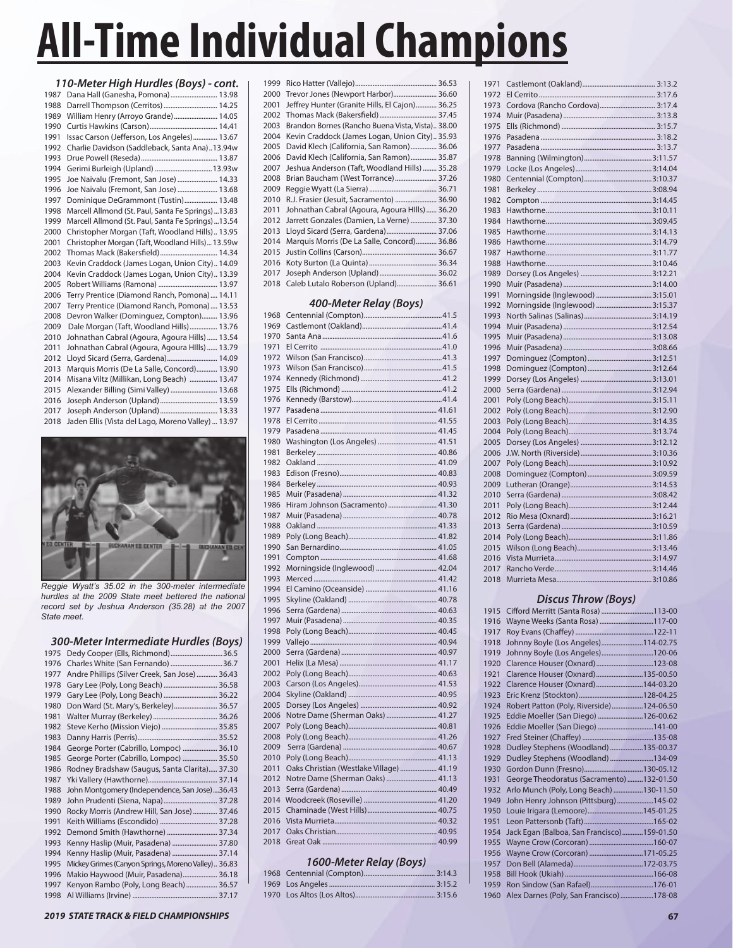| 110-Meter High Hurdles (Boys) - cont. |                                                    |  |
|---------------------------------------|----------------------------------------------------|--|
| 1987                                  | Dana Hall (Ganesha, Pomona) 13.98                  |  |
| 1988                                  | Darrell Thompson (Cerritos)  14.25                 |  |
| 1989                                  | William Henry (Arroyo Grande)  14.05               |  |
| 1990                                  |                                                    |  |
| 1991                                  | Issac Carson (Jefferson, Los Angeles) 13.67        |  |
| 1992                                  | Charlie Davidson (Saddleback, Santa Ana)13.94w     |  |
| 1993                                  |                                                    |  |
| 1994                                  | Gerimi Burleigh (Upland)  13.93w                   |  |
| 1995                                  | Joe Naivalu (Fremont, San Jose)  14.33             |  |
| 1996                                  | Joe Naivalu (Fremont, San Jose)  13.68             |  |
| 1997                                  | Dominique DeGrammont (Tustin) 13.48                |  |
| 1998                                  | Marcell Allmond (St. Paul, Santa Fe Springs)13.83  |  |
| 1999                                  | Marcell Allmond (St. Paul, Santa Fe Springs)13.54  |  |
| 2000                                  | Christopher Morgan (Taft, Woodland Hills) 13.95    |  |
| 2001                                  | Christopher Morgan (Taft, Woodland Hills) 13.59w   |  |
| 2002                                  | Thomas Mack (Bakersfield) 14.34                    |  |
| 2003                                  | Kevin Craddock (James Logan, Union City) 14.09     |  |
| 2004                                  | Kevin Craddock (James Logan, Union City) 13.39     |  |
| 2005                                  | Robert Williams (Ramona)  13.97                    |  |
| 2006                                  | Terry Prentice (Diamond Ranch, Pomona) 14.11       |  |
| 2007                                  | Terry Prentice (Diamond Ranch, Pomona) 13.53       |  |
| 2008                                  | Devron Walker (Dominguez, Compton) 13.96           |  |
| 2009                                  | Dale Morgan (Taft, Woodland Hills) 13.76           |  |
| 2010                                  | Johnathan Cabral (Agoura, Agoura Hills)  13.54     |  |
| 2011                                  | Johnathan Cabral (Agoura, Agoura Hills)  13.79     |  |
| 2012                                  | Lloyd Sicard (Serra, Gardena) 14.09                |  |
| 2013                                  | Marquis Morris (De La Salle, Concord) 13.90        |  |
| 2014                                  | Misana Viltz (Millikan, Long Beach)  13.47         |  |
| 2015                                  | Alexander Billing (Simi Valley)  13.68             |  |
| 2016                                  | Joseph Anderson (Upland) 13.59                     |  |
| 2017                                  | Joseph Anderson (Upland) 13.33                     |  |
| 2018                                  | Jaden Ellis (Vista del Lago, Moreno Valley)  13.97 |  |



*Reggie Wyatt's 35.02 in the 300-meter intermediate hurdles at the 2009 State meet bettered the national record set by Jeshua Anderson (35.28) at the 2007 State meet.*

#### *300-Meter Intermediate Hurdles (Boys)*

| 1975 | Dedy Cooper (Ells, Richmond) 36.5                   |
|------|-----------------------------------------------------|
| 1976 | Charles White (San Fernando)  36.7                  |
| 1977 | Andre Phillips (Silver Creek, San Jose) 36.43       |
| 1978 | Gary Lee (Poly, Long Beach)  36.58                  |
| 1979 | Gary Lee (Poly, Long Beach)  36.22                  |
| 1980 | Don Ward (St. Mary's, Berkeley) 36.57               |
| 1981 |                                                     |
| 1982 | Steve Kerho (Mission Viejo)  35.85                  |
| 1983 |                                                     |
| 1984 | George Porter (Cabrillo, Lompoc)  36.10             |
| 1985 | George Porter (Cabrillo, Lompoc)  35.50             |
| 1986 | Rodney Bradshaw (Saugus, Santa Clarita) 37.30       |
| 1987 |                                                     |
| 1988 | John Montgomery (Independence, San Jose)36.43       |
| 1989 | John Prudenti (Siena, Napa) 37.28                   |
| 1990 | Rocky Morris (Andrew Hill, San Jose)  37.46         |
| 1991 | Keith Williams (Escondido)  37.28                   |
| 1992 | Demond Smith (Hawthorne)  37.34                     |
| 1993 | Kenny Haslip (Muir, Pasadena)  37.80                |
| 1994 | Kenny Haslip (Muir, Pasadena)  37.14                |
| 1995 | Mickey Grimes (Canyon Springs, Moreno Valley) 36.83 |
| 1996 | Makio Haywood (Muir, Pasadena) 36.18                |
| 1997 | Kenyon Rambo (Poly, Long Beach)  36.57              |
| 1998 |                                                     |

| 1999 |                                                  |
|------|--------------------------------------------------|
| 2000 | Trevor Jones (Newport Harbor) 36.60              |
| 2001 | Jeffrey Hunter (Granite Hills, El Cajon) 36.25   |
| 2002 | Thomas Mack (Bakersfield) 37.45                  |
| 2003 | Brandon Bornes (Rancho Buena Vista, Vista) 38.00 |
| 2004 | Kevin Craddock (James Logan, Union City) 35.93   |
| 2005 | David Klech (California, San Ramon) 36.06        |
| 2006 | David Klech (California, San Ramon) 35.87        |
| 2007 | Jeshua Anderson (Taft, Woodland Hills)  35.28    |
| 2008 | Brian Baucham (West Torrance) 37.26              |
| 2009 |                                                  |
| 2010 | R.J. Frasier (Jesuit, Sacramento)  36.90         |
| 2011 | Johnathan Cabral (Agoura, Agoura Hills) 36.20    |
| 2012 | Jarrett Gonzales (Damien, La Verne)  37.30       |
| 2013 | Lloyd Sicard (Serra, Gardena) 37.06              |
| 2014 | Marquis Morris (De La Salle, Concord) 36.86      |
| 2015 |                                                  |
| 2016 |                                                  |
| 2017 |                                                  |
| 2018 | Caleb Lutalo Roberson (Upland) 36.61             |

#### *400-Meter Relay (Boys)*

| 1968 |                                          |
|------|------------------------------------------|
| 1969 |                                          |
| 1970 |                                          |
| 1971 |                                          |
| 1972 |                                          |
| 1973 |                                          |
| 1974 |                                          |
| 1975 |                                          |
| 1976 |                                          |
| 1977 |                                          |
| 1978 |                                          |
| 1979 |                                          |
| 1980 | Washington (Los Angeles)  41.51          |
| 1981 |                                          |
| 1982 |                                          |
| 1983 |                                          |
| 1984 |                                          |
| 1985 |                                          |
| 1986 | Hiram Johnson (Sacramento) 41.30         |
| 1987 |                                          |
| 1988 |                                          |
| 1989 |                                          |
| 1990 |                                          |
| 1991 |                                          |
| 1992 |                                          |
| 1993 |                                          |
| 1994 |                                          |
| 1995 |                                          |
| 1996 |                                          |
| 1997 |                                          |
| 1998 |                                          |
|      |                                          |
| 1999 |                                          |
| 2000 |                                          |
| 2001 |                                          |
| 2002 |                                          |
| 2003 |                                          |
| 2004 |                                          |
| 2005 |                                          |
| 2006 | Notre Dame (Sherman Oaks) 41.27          |
| 2007 |                                          |
| 2008 |                                          |
| 2009 |                                          |
| 2010 |                                          |
| 2011 | Oaks Christian (Westlake Village)  41.19 |
| 2012 | Notre Dame (Sherman Oaks)  41.13         |
| 2013 |                                          |
| 2014 |                                          |
| 2015 |                                          |
| 2016 |                                          |
| 2017 |                                          |
| 2018 |                                          |

### *1600-Meter Relay (Boys)*

| . |  |
|---|--|
|   |  |
|   |  |
|   |  |
|   |  |

| 1971 |                                  |  |
|------|----------------------------------|--|
| 1972 |                                  |  |
| 1973 |                                  |  |
| 1974 |                                  |  |
| 1975 |                                  |  |
| 1976 |                                  |  |
| 1977 |                                  |  |
| 1978 |                                  |  |
| 1979 |                                  |  |
| 1980 |                                  |  |
| 1981 |                                  |  |
| 1982 |                                  |  |
| 1983 |                                  |  |
| 1984 |                                  |  |
| 1985 |                                  |  |
| 1986 |                                  |  |
| 1987 |                                  |  |
| 1988 |                                  |  |
| 1989 |                                  |  |
| 1990 |                                  |  |
| 1991 |                                  |  |
| 1992 | Morningside (Inglewood)  3:15.37 |  |
| 1993 |                                  |  |
| 1994 |                                  |  |
| 1995 |                                  |  |
| 1996 |                                  |  |
| 1997 |                                  |  |
| 1998 |                                  |  |
| 1999 |                                  |  |
| 2000 |                                  |  |
| 2001 |                                  |  |
| 2002 |                                  |  |
| 2003 |                                  |  |
| 2004 |                                  |  |
| 2005 |                                  |  |
| 2006 |                                  |  |
| 2007 |                                  |  |
| 2008 |                                  |  |
| 2009 |                                  |  |
| 2010 |                                  |  |
| 2011 |                                  |  |
| 2012 |                                  |  |
| 2013 |                                  |  |
| 2014 |                                  |  |
| 2015 |                                  |  |
| 2016 |                                  |  |
| 2017 |                                  |  |
| 2018 |                                  |  |

### *Discus Throw (Boys)*

| 1915 | Cifford Merritt (Santa Rosa) 113-00        |  |
|------|--------------------------------------------|--|
| 1916 | Wayne Weeks (Santa Rosa) 117-00            |  |
| 1917 |                                            |  |
| 1918 | Johnny Boyle (Los Angeles)114-02.75        |  |
| 1919 | Johnny Boyle (Los Angeles)120-06           |  |
| 1920 |                                            |  |
| 1921 | Clarence Houser (Oxnard) 135-00.50         |  |
| 1922 | Clarence Houser (Oxnard) 144-03.20         |  |
| 1923 |                                            |  |
| 1924 | Robert Patton (Poly, Riverside)124-06.50   |  |
| 1925 | Eddie Moeller (San Diego) 126-00.62        |  |
| 1926 | Eddie Moeller (San Diego) 141-00           |  |
| 1927 |                                            |  |
| 1928 | Dudley Stephens (Woodland) 135-00.37       |  |
| 1929 | Dudley Stephens (Woodland) 134-09          |  |
| 1930 |                                            |  |
| 1931 | George Theodoratus (Sacramento) 132-01.50  |  |
| 1932 | Arlo Munch (Poly, Long Beach) 130-11.50    |  |
| 1949 | John Henry Johnson (Pittsburg) 145-02      |  |
| 1950 | Louie Irigara (Lemoore)145-01.25           |  |
| 1951 |                                            |  |
| 1954 | Jack Egan (Balboa, San Francisco)159-01.50 |  |
| 1955 |                                            |  |
| 1956 | Wayne Crow (Corcoran) 171-05.25            |  |
| 1957 |                                            |  |
| 1958 |                                            |  |
| 1959 |                                            |  |
| 1960 | Alex Darnes (Poly, San Francisco) 178-08   |  |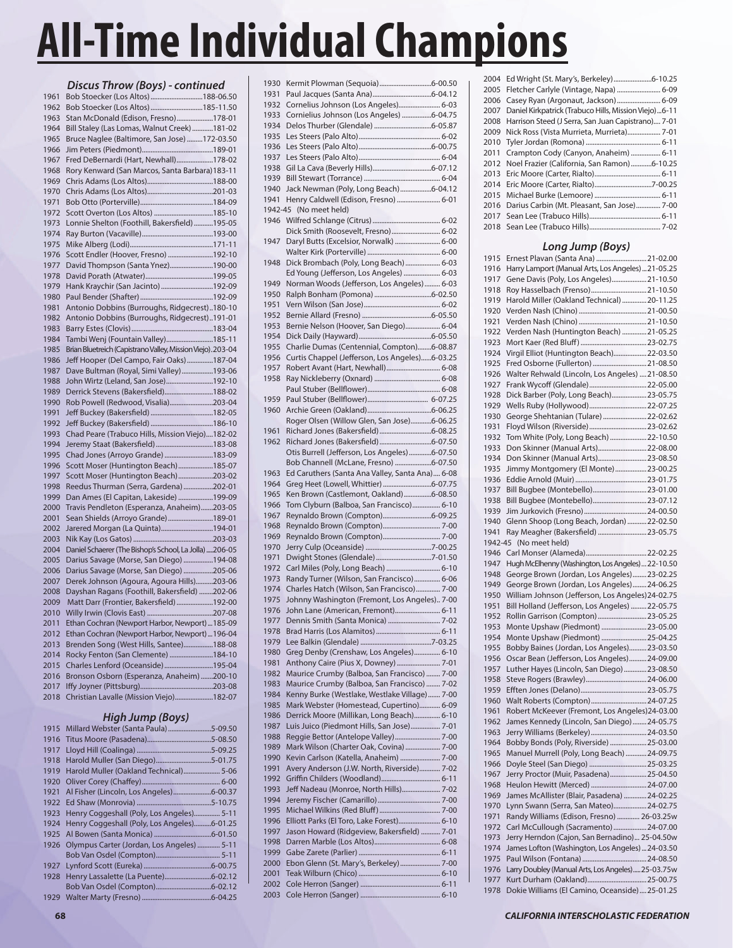|              | Discus Throw (Boys) - continued                                            |
|--------------|----------------------------------------------------------------------------|
| 1961         | Bob Stoecker (Los Altos)188-06.50                                          |
| 1962         | Bob Stoecker (Los Altos)185-11.50                                          |
| 1963         | Stan McDonald (Edison, Fresno)178-01                                       |
| 1964         | Bill Staley (Las Lomas, Walnut Creek) 181-02                               |
| 1965         | Bruce Naglee (Baltimore, San Jose)172-03.50                                |
| 1966         |                                                                            |
| 1967         | Fred DeBernardi (Hart, Newhall)178-02                                      |
| 1968         | Rory Kenward (San Marcos, Santa Barbara) 183-11                            |
| 1969         |                                                                            |
| 1970         |                                                                            |
| 1971         |                                                                            |
| 1972         |                                                                            |
| 1973         | Lonnie Shelton (Foothill, Bakersfield) 195-05                              |
| 1974         |                                                                            |
| 1975         |                                                                            |
| 1976         | Scott Endler (Hoover, Fresno) 192-10                                       |
| 1977         | David Thompson (Santa Ynez)190-00                                          |
| 1978         |                                                                            |
| 1979         | Hank Kraychir (San Jacinto) 192-09                                         |
| 1980         |                                                                            |
| 1981         | Antonio Dobbins (Burroughs, Ridgecrest)180-10                              |
| 1982         | Antonio Dobbins (Burroughs, Ridgecrest)191-01                              |
| 1983         |                                                                            |
| 1984         | Tambi Wenj (Fountain Valley)185-11                                         |
| 1985         | Brian Bluetreich (Capistrano Valley, Mission Viejo). 203-04                |
| 1986<br>1987 | Jeff Hooper (Del Campo, Fair Oaks)187-04                                   |
| 1988         | Dave Bultman (Royal, Simi Valley)193-06                                    |
| 1989         | John Wirtz (Leland, San Jose)192-10<br>Derrick Stevens (Bakersfield)188-02 |
| 1990         | Rob Powell (Redwood, Visalia)203-04                                        |
| 1991         |                                                                            |
| 1992         |                                                                            |
| 1993         | Chad Peare (Trabuco Hills, Mission Viejo)182-02                            |
| 1994         | Jeremy Staat (Bakersfield)183-08                                           |
| 1995         | Chad Jones (Arroyo Grande) 183-09                                          |
| 1996         | Scott Moser (Huntington Beach)185-07                                       |
| 1997         | Scott Moser (Huntington Beach) 203-02                                      |
| 1998         | Reedus Thurman (Serra, Gardena)202-01                                      |
| 1999         | Dan Ames (El Capitan, Lakeside) 199-09                                     |
| 2000         | Travis Pendleton (Esperanza, Anaheim)203-05                                |
| 2001         | Sean Shields (Arroyo Grande)189-01                                         |
| 2002         | Jarered Morgan (La Quinta)194-01                                           |
| 2003         |                                                                            |
| 2004         | Daniel Schaerer (The Bishop's School, La Jolla) 206-05                     |
| 2005         | Darius Savage (Morse, San Diego) 194-08                                    |
| 2006         | Darius Savage (Morse, San Diego) 205-06                                    |
| 2007         | Derek Johnson (Agoura, Agoura Hills)203-06                                 |
| 2008         | Dayshan Ragans (Foothill, Bakersfield) 202-06                              |
| 2009         | Matt Darr (Frontier, Bakersfield) 192-00                                   |
| 2010         |                                                                            |
| 2011         | Ethan Cochran (Newport Harbor, Newport)  185-09                            |
| 2012         | Ethan Cochran (Newport Harbor, Newport)  196-04                            |
| 2013         | Brenden Song (West Hills, Santee)188-08                                    |
| 2014         | Rocky Fenton (San Clemente) 184-10                                         |
| 2015         | Charles Lenford (Oceanside) 195-04                                         |
| 2016<br>2017 | Bronson Osborn (Esperanza, Anaheim) 200-10                                 |
| 2018         | Christian Lavalle (Mission Viejo)182-07                                    |
|              |                                                                            |

# *High Jump (Boys)*

| 1915 | Millard Webster (Santa Paula)5-09.50        |  |
|------|---------------------------------------------|--|
| 1916 |                                             |  |
| 1917 |                                             |  |
| 1918 | Harold Muller (San Diego)5-01.75            |  |
| 1919 | Harold Muller (Oakland Technical) 5-06      |  |
| 1920 |                                             |  |
| 1921 |                                             |  |
| 1922 |                                             |  |
| 1923 | Henry Coggeshall (Poly, Los Angeles) 5-11   |  |
| 1924 | Henry Coggeshall (Poly, Los Angeles)6-01.25 |  |
| 1925 |                                             |  |
| 1926 | Olympus Carter (Jordan, Los Angeles)  5-11  |  |
|      |                                             |  |
| 1927 |                                             |  |
| 1928 |                                             |  |
|      |                                             |  |
|      |                                             |  |

| 1930         |                                                                                              |
|--------------|----------------------------------------------------------------------------------------------|
| 1931         |                                                                                              |
| 1932         | Cornelius Johnson (Los Angeles) 6-03                                                         |
| 1933         | Cornielius Johnson (Los Angeles) 6-04.75                                                     |
| 1934         |                                                                                              |
| 1935         |                                                                                              |
| 1936         |                                                                                              |
| 1937         |                                                                                              |
| 1938         |                                                                                              |
| 1939         |                                                                                              |
| 1940         | Jack Newman (Poly, Long Beach)6-04.12                                                        |
| 1941         | Henry Caldwell (Edison, Fresno)  6-01                                                        |
| 1942-45      | (No meet held)                                                                               |
| 1946         |                                                                                              |
|              | Dick Smith (Roosevelt, Fresno) 6-02                                                          |
| 1947         | Daryl Butts (Excelsior, Norwalk)  6-00                                                       |
|              |                                                                                              |
| 1948         | Dick Brombach (Poly, Long Beach)  6-03                                                       |
|              | Ed Young (Jefferson, Los Angeles)  6-03                                                      |
| 1949         | Norman Woods (Jefferson, Los Angeles)  6-03                                                  |
| 1950         |                                                                                              |
| 1951         |                                                                                              |
| 1952         |                                                                                              |
| 1953         | Bernie Nelson (Hoover, San Diego) 6-04                                                       |
| 1954         |                                                                                              |
| 1955         | Charlie Dumas (Centennial, Compton)6-08.87                                                   |
| 1956         | Curtis Chappel (Jefferson, Los Angeles)6-03.25                                               |
| 1957         |                                                                                              |
| 1958         |                                                                                              |
|              |                                                                                              |
| 1959         |                                                                                              |
| 1960         |                                                                                              |
|              | Roger Olsen (Willow Glen, San Jose)6-06.25                                                   |
| 1961         |                                                                                              |
| 1962         |                                                                                              |
|              | Otis Burrell (Jefferson, Los Angeles)6-07.50                                                 |
|              | Bob Channell (McLane, Fresno) 6-07.50                                                        |
| 1963<br>1964 | Ed Caruthers (Santa Ana Valley, Santa Ana) 6-08                                              |
|              |                                                                                              |
|              |                                                                                              |
| 1965         | Ken Brown (Castlemont, Oakland)6-08.50                                                       |
| 1966         | Tom Clyburn (Balboa, San Francisco) 6-10                                                     |
| 1967         | Reynaldo Brown (Compton)6-09.25                                                              |
| 1968         |                                                                                              |
| 1969         |                                                                                              |
| 1970         |                                                                                              |
| 1971         |                                                                                              |
| 1972         | Carl Miles (Poly, Long Beach)  6-10                                                          |
| 1973         | Randy Turner (Wilson, San Francisco)  6-06                                                   |
| 1974         | Charles Hatch (Wilson, San Francisco) 7-00                                                   |
| 1975         | Johnny Washington (Fremont, Los Angeles) 7-00                                                |
| 1976         | John Lane (American, Fremont) 6-11                                                           |
| 1977         | Dennis Smith (Santa Monica)  7-02                                                            |
| 1978         |                                                                                              |
| 1979         |                                                                                              |
| 1980<br>1981 | Greg Denby (Crenshaw, Los Angeles) 6-10                                                      |
| 1982         | Anthony Caire (Pius X, Downey)  7-01                                                         |
| 1983         | Maurice Crumby (Balboa, San Francisco)  7-00<br>Maurice Crumby (Balboa, San Francisco)  7-02 |
| 1984         |                                                                                              |
| 1985         | Kenny Burke (Westlake, Westlake Village)  7-00<br>Mark Webster (Homestead, Cupertino) 6-09   |
| 1986         | Derrick Moore (Millikan, Long Beach) 6-10                                                    |
| 1987         | Luis Juico (Piedmont Hills, San Jose) 7-01                                                   |
| 1988         | Reggie Bettor (Antelope Valley) 7-00                                                         |
| 1989         | Mark Wilson (Charter Oak, Covina)  7-00                                                      |
| 1990         | Kevin Carlson (Katella, Anaheim)  7-00                                                       |
| 1991         | Avery Anderson (J.W. North, Riverside) 7-02                                                  |
| 1992         |                                                                                              |
| 1993         | Jeff Nadeau (Monroe, North Hills) 7-02                                                       |
| 1994         |                                                                                              |
| 1995         |                                                                                              |
| 1996         | Elliott Parks (El Toro, Lake Forest) 6-10                                                    |
| 1997         | Jason Howard (Ridgeview, Bakersfield)  7-01                                                  |
| 1998         |                                                                                              |
| 1999         |                                                                                              |
| 2000         | Ebon Glenn (St. Mary's, Berkeley)  7-00                                                      |
| 2001         |                                                                                              |
| 2002<br>2003 |                                                                                              |

|      | 2004 Ed Wright (St. Mary's, Berkeley)6-10.25          |
|------|-------------------------------------------------------|
|      | 2005 Fletcher Carlyle (Vintage, Napa)  6-09           |
|      | 2006 Casey Ryan (Argonaut, Jackson)  6-09             |
| 2007 | Daniel Kirkpatrick (Trabuco Hills, Mission Viejo)6-11 |
| 2008 | Harrison Steed (J Serra, San Juan Capistrano) 7-01    |
| 2009 | Nick Ross (Vista Murrieta, Murrieta) 7-01             |
| 2010 |                                                       |
| 2011 | Crampton Cody (Canyon, Anaheim)  6-11                 |
| 2012 | Noel Frazier (California, San Ramon)6-10.25           |
| 2013 |                                                       |
| 2014 |                                                       |
| 2015 |                                                       |
| 2016 | Darius Carbin (Mt. Pleasant, San Jose) 7-00           |
| 2017 |                                                       |
|      |                                                       |
|      |                                                       |

# *Long Jump (Boys)*

|         | Long Jump (Doys)                                   |
|---------|----------------------------------------------------|
| 1915    | Ernest Plavan (Santa Ana)  21-02.00                |
| 1916    | Harry Lamport (Manual Arts, Los Angeles)  21-05.25 |
| 1917    | Gene Davis (Poly, Los Angeles) 21-10.50            |
| 1918    | Roy Hasselbach (Frenso) 21-10.50                   |
| 1919    | Harold Miller (Oakland Technical)  20-11.25        |
| 1920    |                                                    |
| 1921    |                                                    |
| 1922    | Verden Nash (Huntington Beach) 21-05.25            |
| 1923    |                                                    |
| 1924    | Virgil Elliot (Huntington Beach)22-03.50           |
| 1925    | Fred Osborne (Fullerton)  21-08.50                 |
| 1926    | Walter Rehwald (Lincoln, Los Angeles)  21-08.50    |
| 1927    | Frank Wycoff (Glendale) 22-05.00                   |
| 1928    | Dick Barber (Poly, Long Beach) 23-05.75            |
| 1929    |                                                    |
| 1930    | George Shehtanian (Tulare)  22-02.62               |
| 1931    | Floyd Wilson (Riverside)  23-02.62                 |
| 1932    | Tom White (Poly, Long Beach) 22-10.50              |
| 1933    | Don Skinner (Manual Arts) 22-08.00                 |
| 1934    | Don Skinner (Manual Arts) 23-08.50                 |
| 1935    | Jimmy Montgomery (El Monte)  23-00.25              |
| 1936    |                                                    |
| 1937    | Bill Bugbee (Montebello)23-01.00                   |
| 1938    | Bill Bugbee (Montebello)23-07.12                   |
| 1939    |                                                    |
| 1940    | Glenn Shoop (Long Beach, Jordan)  22-02.50         |
| 1941    | Ray Meagher (Bakersfield) 23-05.75                 |
| 1942-45 | (No meet held)                                     |
| 1946    |                                                    |
| 1947    | Hugh McElhenny (Washington, Los Angeles)22-10.50   |
| 1948    | George Brown (Jordan, Los Angeles) 23-02.25        |
| 1949    | George Brown (Jordan, Los Angeles) 24-06.25        |
| 1950    | William Johnson (Jefferson, Los Angeles)24-02.75   |
| 1951    | Bill Holland (Jefferson, Los Angeles) 22-05.75     |
| 1952    | Rollin Garrison (Compton)  23-05.25                |
| 1953    | Monte Upshaw (Piedmont)  23-05.00                  |
| 1954    | Monte Upshaw (Piedmont)  25-04.25                  |
| 1955    | Bobby Baines (Jordan, Los Angeles) 23-03.50        |
| 1956    | Oscar Bean (Jefferson, Los Angeles)24-09.00        |
| 1957    | Luther Hayes (Lincoln, San Diego) 23-08.50         |
| 1958    |                                                    |
| 1959    |                                                    |
| 1960    | Walt Roberts (Compton)24-07.25                     |
| 1961    | Robert McKeever (Fremont, Los Angeles)24-03.00     |
| 1962    | James Kennedy (Lincoln, San Diego)  24-05.75       |
| 1963    | Jerry Williams (Berkeley)  24-03.50                |
| 1964    | Bobby Bonds (Poly, Riverside)  25-03.00            |
| 1965    | Manuel Murrell (Poly, Long Beach) 24-09.75         |
| 1966    | Doyle Steel (San Diego)  25-03.25                  |
| 1967    | Jerry Proctor (Muir, Pasadena) 25-04.50            |
| 1968    | Heulon Hewitt (Merced) 24-07.00                    |
| 1969    | James McAllister (Blair, Pasadena)  24-02.25       |
| 1970    | Lynn Swann (Serra, San Mateo)24-02.75              |
| 1971    | Randy Williams (Edison, Fresno)  26-03.25w         |
| 1972    | Carl McCullough (Sacramento) 24-07.00              |
| 1973    | Jerry Herndon (Cajon, San Bernadino) 25-04.50w     |
| 1974    | James Lofton (Washington, Los Angeles)  24-03.50   |
| 1975    |                                                    |
| 1976    | Larry Doubley (Manual Arts, Los Angeles)25-03.75w  |
| 1977    |                                                    |
| 1978    | Dokie Williams (El Camino, Oceanside)  25-01.25    |
|         |                                                    |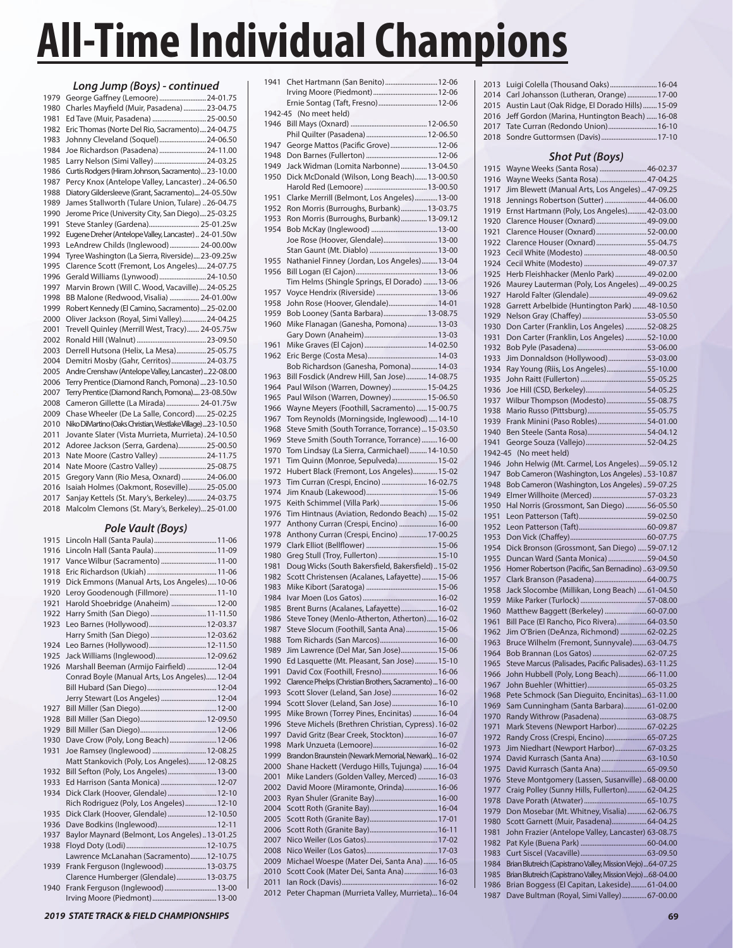| Long Jump (Boys) - continued |                                                             |  |  |
|------------------------------|-------------------------------------------------------------|--|--|
| 1979                         | George Gaffney (Lemoore)  24-01.75                          |  |  |
| 1980                         | Charles Mayfield (Muir, Pasadena)  23-04.75                 |  |  |
| 1981                         | Ed Tave (Muir, Pasadena)  25-00.50                          |  |  |
| 1982                         | Eric Thomas (Norte Del Rio, Sacramento) 24-04.75            |  |  |
| 1983                         | Johnny Cleveland (Soquel)24-06.50                           |  |  |
| 1984                         | Joe Richardson (Pasadena)  24-11.00                         |  |  |
| 1985                         | Larry Nelson (Simi Valley)  24-03.25                        |  |  |
| 1986                         | Curtis Rodgers (Hiram Johnson, Sacramento) 23-10.00         |  |  |
| 1987                         | Percy Knox (Antelope Valley, Lancaster)24-06.50             |  |  |
| 1988                         | Diatory Gildersleeve (Grant, Sacramento)24-05.50w           |  |  |
| 1989                         | James Stallworth (Tulare Union, Tulare) 26-04.75            |  |  |
| 1990                         | Jerome Price (University City, San Diego)25-03.25           |  |  |
| 1991                         | Steve Stanley (Gardena) 25-01.25w                           |  |  |
| 1992                         | Eugene Dreher (Antelope Valley, Lancaster) 24-01.50w        |  |  |
| 1993                         | LeAndrew Childs (Inglewood) 24-00.00w                       |  |  |
| 1994                         | Tyree Washington (La Sierra, Riverside) 23-09.25w           |  |  |
| 1995                         | Clarence Scott (Fremont, Los Angeles) 24-07.75              |  |  |
| 1996                         | Gerald Williams (Lynwood) 24-10.50                          |  |  |
| 1997                         | Marvin Brown (Will C. Wood, Vacaville)24-05.25              |  |  |
| 1998                         | BB Malone (Redwood, Visalia)  24-01.00w                     |  |  |
| 1999                         | Robert Kennedy (El Camino, Sacramento)25-02.00              |  |  |
| 2000                         | Oliver Jackson (Royal, Simi Valley)24-04.25                 |  |  |
| 2001                         | Trevell Quinley (Merrill West, Tracy) 24-05.75w             |  |  |
| 2002                         |                                                             |  |  |
| 2003                         | Derrell Hutsona (Helix, La Mesa) 25-05.75                   |  |  |
| 2004                         | Demitri Mosby (Gahr, Cerritos) 24-03.75                     |  |  |
| 2005                         | Andre Crenshaw (Antelope Valley, Lancaster)22-08.00         |  |  |
| 2006                         | Terry Prentice (Diamond Ranch, Pomona)  23-10.50            |  |  |
| 2007                         | Terry Prentice (Diamond Ranch, Pomona) 23-08.50w            |  |  |
| 2008                         | Cameron Gillette (La Mirada)  24-01.75w                     |  |  |
| 2009                         | Chase Wheeler (De La Salle, Concord)  25-02.25              |  |  |
| 2010                         | Niko DiMartino (Oaks Christian, Westlake Village)  23-10.50 |  |  |
| 2011                         | Jovante Slater (Vista Murrieta, Murrieta). 24-10.50         |  |  |
| 2012                         | Adoree Jackson (Serra, Gardena)25-00.50                     |  |  |
| 2013                         | Nate Moore (Castro Valley)  24-11.75                        |  |  |
| 2014                         | Nate Moore (Castro Valley)  25-08.75                        |  |  |
| 2015                         | Gregory Vann (Rio Mesa, Oxnard) 24-06.00                    |  |  |
| 2016                         | Isaiah Holmes (Oakmont, Roseville)  25-05.00                |  |  |
| 2017                         | Sanjay Kettels (St. Mary's, Berkeley) 24-03.75              |  |  |
| 2018                         | Malcolm Clemons (St. Mary's, Berkeley)25-01.00              |  |  |

# *Pole Vault (Boys)*

| 1915 |                                               |
|------|-----------------------------------------------|
| 1916 |                                               |
| 1917 | Vance Wilbur (Sacramento)  11-00              |
| 1918 |                                               |
| 1919 | Dick Emmons (Manual Arts, Los Angeles)10-06   |
| 1920 | Leroy Goodenough (Fillmore)  11-10            |
| 1921 | Harold Shoebridge (Anaheim)  12-00            |
| 1922 | Harry Smith (San Diego) 11-11.50              |
| 1923 | Leo Barnes (Hollywood) 12-03.37               |
|      | Harry Smith (San Diego)  12-03.62             |
| 1924 | Leo Barnes (Hollywood) 12-11.50               |
| 1925 | Jack Williams (Inglewood) 12-09.62            |
| 1926 | Marshall Beeman (Armijo Fairfield)  12-04     |
|      | Conrad Boyle (Manual Arts, Los Angeles) 12-04 |
|      |                                               |
|      | Jerry Stewart (Los Angeles)  12-04            |
| 1927 |                                               |
| 1928 |                                               |
| 1929 |                                               |
| 1930 | Dave Crow (Poly, Long Beach)  12-06           |
| 1931 | Joe Ramsey (Inglewood)  12-08.25              |
|      | Matt Stankovich (Poly, Los Angeles) 12-08.25  |
| 1932 | Bill Sefton (Poly, Los Angeles) 13-00         |
| 1933 | Ed Harrison (Santa Monica)  12-07             |
| 1934 | Dick Clark (Hoover, Glendale)  12-10          |
|      | Rich Rodriguez (Poly, Los Angeles)  12-10     |
| 1935 | Dick Clark (Hoover, Glendale)  12-10.50       |
| 1936 |                                               |
| 1937 | Baylor Maynard (Belmont, Los Angeles)13-01.25 |
| 1938 |                                               |
|      | Lawrence McLanahan (Sacramento) 12-10.75      |
| 1939 | Frank Ferguson (Inglewood)  13-03.75          |
|      | Clarence Humberger (Glendale)  13-03.75       |
| 1940 | Frank Ferguson (Inglewood)  13-00             |
|      |                                               |

| 1941         | Chet Hartmann (San Benito)  12-06                       |
|--------------|---------------------------------------------------------|
|              |                                                         |
|              | Ernie Sontag (Taft, Fresno) 12-06                       |
| 1942-45      | (No meet held)                                          |
| 1946         |                                                         |
|              | Phil Quilter (Pasadena)  12-06.50                       |
| 1947         | George Mattos (Pacific Grove)  12-06                    |
| 1948         |                                                         |
| 1949         | Jack Widman (Lomita Narbonne)  13-04.50                 |
|              | Dick McDonald (Wilson, Long Beach) 13-00.50             |
| 1950         |                                                         |
|              |                                                         |
| 1951         | Clarke Merrill (Belmont, Los Angeles) 13-00             |
| 1952         | Ron Morris (Burroughs, Burbank)  13-03.75               |
| 1953         | Ron Morris (Burroughs, Burbank) 13-09.12                |
| 1954         |                                                         |
|              | Joe Rose (Hoover, Glendale) 13-00                       |
|              |                                                         |
| 1955         | Nathaniel Finney (Jordan, Los Angeles)  13-04           |
| 1956         |                                                         |
|              | Tim Helms (Shingle Springs, El Dorado)  13-06           |
| 1957         | Voyce Hendrix (Riverside)  13-06                        |
| 1958         | John Rose (Hoover, Glendale) 14-01                      |
| 1959         | Bob Looney (Santa Barbara) 13-08.75                     |
| 1960         | Mike Flanagan (Ganesha, Pomona)  13-03                  |
|              |                                                         |
| 1961         |                                                         |
|              |                                                         |
| 1962         |                                                         |
|              | Bob Richardson (Ganesha, Pomona) 14-03                  |
| 1963         | Bill Fosdick (Andrew Hill, San Jose) 14-08.75           |
| 1964         | Paul Wilson (Warren, Downey)  15-04.25                  |
| 1965         | Paul Wilson (Warren, Downey)  15-06.50                  |
| 1966         | Wayne Meyers (Foothill, Sacramento)  15-00.75           |
| 1967         | Tom Reynolds (Morningside, Inglewood)  14-10            |
| 1968         | Steve Smith (South Torrance, Torrance)  15-03.50        |
| 1969         | Steve Smith (South Torrance, Torrance)  16-00           |
| 1970         | Tom Lindsay (La Sierra, Carmichael) 14-10.50            |
| 1971         | Tim Quinn (Monroe, Sepulveda) 15-02                     |
| 1972         | Hubert Black (Fremont, Los Angeles) 15-02               |
| 1973         | Tim Curran (Crespi, Encino)  16-02.75                   |
| 1974         |                                                         |
| 1975         | Keith Schimmel (Villa Park) 15-06                       |
|              |                                                         |
| 1976         | Tim Hintnaus (Aviation, Redondo Beach)  15-02           |
| 1977         | Anthony Curran (Crespi, Encino)  16-00                  |
| 1978         | Anthony Curran (Crespi, Encino)  17-00.25               |
| 1979         |                                                         |
| 1980         | Greg Stull (Troy, Fullerton)  15-10                     |
| 1981         | Doug Wicks (South Bakersfield, Bakersfield)15-02        |
| 1982         | Scott Christensen (Acalanes, Lafayette)  15-06          |
| 1983         |                                                         |
| 1984         |                                                         |
| 1985         | Brent Burns (Acalanes, Lafayette)  16-02                |
| 1986         | Steve Toney (Menlo-Atherton, Atherton) 16-02            |
| 1987         | Steve Slocum (Foothill, Santa Ana) 15-06                |
| 1988         | Tom Richards (San Marcos) 16-00                         |
| 1989         | Jim Lawrence (Del Mar, San Jose) 15-06                  |
| 1990         | Ed Lasquette (Mt. Pleasant, San Jose) 15-10             |
| 1991         | David Cox (Foothill, Fresno) 16-06                      |
| 1992         | Clarence Phelps (Christian Brothers, Sacramento)  16-00 |
|              | Scott Slover (Leland, San Jose) 16-02                   |
| 1993<br>1994 | Scott Slover (Leland, San Jose) 16-10                   |
|              |                                                         |
| 1995         | Mike Brown (Torrey Pines, Encinitas)  16-04             |
| 1996         | Steve Michels (Brethren Christian, Cypress). 16-02      |
| 1997         | David Gritz (Bear Creek, Stockton) 16-07                |
| 1998         |                                                         |
| 1999         | Brandon Braunstein (Newark Memorial, Newark) 16-02      |
| 2000         | Shane Hackett (Verdugo Hills, Tujunga)  16-04           |
| 2001         | Mike Landers (Golden Valley, Merced)  16-03             |
| 2002         | David Moore (Miramonte, Orinda) 16-06                   |
| 2003         |                                                         |
| 2004         |                                                         |
| 2005         |                                                         |
| 2006         |                                                         |
| 2007         |                                                         |
| 2008         |                                                         |
|              | Michael Woespe (Mater Dei, Santa Ana) 16-05             |
| 2009         |                                                         |
| 2010         | Scott Cook (Mater Dei, Santa Ana) 16-03                 |
| 2011         |                                                         |
| 2012         | Peter Chapman (Murrieta Valley, Murrieta)16-04          |
|              |                                                         |

| 2013 Luigi Colella (Thousand Oaks)  16-04            |
|------------------------------------------------------|
| 2014 Carl Johansson (Lutheran, Orange)  17-00        |
| 2015 Austin Laut (Oak Ridge, El Dorado Hills)  15-09 |
| 2016 Jeff Gordon (Marina, Huntington Beach)  16-08   |
| 2017 Tate Curran (Redondo Union) 16-10               |
| 2018 Sondre Guttormsen (Davis)  17-10                |

|              | <b>Shot Put (Boys)</b>                                                                        |  |
|--------------|-----------------------------------------------------------------------------------------------|--|
| 1915         | Wayne Weeks (Santa Rosa)  46-02.37                                                            |  |
| 1916         | Wayne Weeks (Santa Rosa) 47-04.25                                                             |  |
| 1917         | Jim Blewett (Manual Arts, Los Angeles)  47-09.25                                              |  |
| 1918         | Jennings Robertson (Sutter) 44-06.00                                                          |  |
| 1919         | Ernst Hartmann (Poly, Los Angeles) 42-03.00                                                   |  |
| 1920         | Clarence Houser (Oxnard) 49-09.00                                                             |  |
| 1921         | Clarence Houser (Oxnard)52-00.00                                                              |  |
| 1922         | Clarence Houser (Oxnard) 55-04.75                                                             |  |
| 1923         |                                                                                               |  |
| 1924         |                                                                                               |  |
| 1925         | Herb Fleishhacker (Menlo Park)  49-02.00                                                      |  |
| 1926         | Maurey Lauterman (Poly, Los Angeles)  49-00.25                                                |  |
| 1927         | Harold Falter (Glendale)  49-09.62                                                            |  |
| 1928         | Garrett Arbelbide (Huntington Park)  48-10.50                                                 |  |
| 1929         |                                                                                               |  |
| 1930         | Don Carter (Franklin, Los Angeles) 52-08.25                                                   |  |
| 1931         | Don Carter (Franklin, Los Angeles) 52-10.00                                                   |  |
| 1932         |                                                                                               |  |
| 1933         | Jim Donnaldson (Hollywood)53-03.00                                                            |  |
| 1934         | Ray Young (Riis, Los Angeles)55-10.00                                                         |  |
| 1935         |                                                                                               |  |
| 1936         |                                                                                               |  |
| 1937         | Wilbur Thompson (Modesto)55-08.75                                                             |  |
| 1938         |                                                                                               |  |
| 1939         | Frank Minini (Paso Robles)54-01.00                                                            |  |
| 1940         |                                                                                               |  |
| 1941         |                                                                                               |  |
| 1942-45      | (No meet held)                                                                                |  |
| 1946         | John Helwig (Mt. Carmel, Los Angeles)59-05.12                                                 |  |
| 1947         | Bob Cameron (Washington, Los Angeles)  53-10.87                                               |  |
| 1948         | Bob Cameron (Washington, Los Angeles)59-07.25                                                 |  |
| 1949         | Elmer Willhoite (Merced)  57-03.23                                                            |  |
| 1950         | Hal Norris (Grossmont, San Diego) 56-05.50                                                    |  |
| 1951         |                                                                                               |  |
| 1952         |                                                                                               |  |
| 1953         |                                                                                               |  |
| 1954         | Dick Bronson (Grossmont, San Diego)  59-07.12                                                 |  |
| 1955         | Duncan Ward (Santa Monica) 59-04.50                                                           |  |
| 1956         | Homer Robertson (Pacific, San Bernadino)  63-09.50                                            |  |
| 1957         | Clark Branson (Pasadena) 64-00.75                                                             |  |
| 1958         | Jack Slocombe (Millikan, Long Beach)  61-04.50                                                |  |
| 1959         |                                                                                               |  |
| 1960         | Matthew Baggett (Berkeley)  60-07.00                                                          |  |
| 1961         | Bill Pace (El Rancho, Pico Rivera) 64-03.50                                                   |  |
| 1962         | Jim O'Brien (DeAnza, Richmond)  62-02.25                                                      |  |
| 1963         | Bruce Wilhelm (Fremont, Sunnyvale) 63-04.75                                                   |  |
| 1964         | Bob Brannan (Los Gatos)  62-07.25                                                             |  |
| 1965         | Steve Marcus (Palisades, Pacific Palisades)63-11.25                                           |  |
| 1966         | John Hubbell (Poly, Long Beach)66-11.00                                                       |  |
| 1967         |                                                                                               |  |
| 1968         | Pete Schmock (San Dieguito, Encinitas)63-11.00                                                |  |
| 1969         | Sam Cunningham (Santa Barbara) 61-02.00                                                       |  |
| 1970         | Randy Withrow (Pasadena)63-08.75                                                              |  |
| 1971         | Mark Stevens (Newport Harbor) 67-02.25                                                        |  |
| 1972         | Randy Cross (Crespi, Encino) 65-07.25                                                         |  |
| 1973         | Jim Niedhart (Newport Harbor) 67-03.25                                                        |  |
| 1974         | David Kurrasch (Santa Ana)  63-10.50                                                          |  |
| 1975         | David Kurrasch (Santa Ana)  65-09.50                                                          |  |
| 1976         | Steve Montgomery (Lassen, Susanville)  68-00.00                                               |  |
| 1977         | Craig Polley (Sunny Hills, Fullerton) 62-04.25                                                |  |
| 1978         | Don Mosebar (Mt. Whitney, Visalia)  62-06.75                                                  |  |
| 1979         |                                                                                               |  |
| 1980<br>1981 | Scott Garnett (Muir, Pasadena) 64-04.25<br>John Frazier (Antelope Valley, Lancaster) 63-08.75 |  |
| 1982         |                                                                                               |  |
| 1983         |                                                                                               |  |
| 1984         | Brian Blutreich (Capistrano Valley, Mission Viejo)  64-07.25                                  |  |
| 1985         | Brian Blutreich (Capistrano Valley, Mission Viejo)  68-04.00                                  |  |
| 1986         | Brian Boggess (El Capitan, Lakeside) 61-04.00                                                 |  |
| 1987         | Dave Bultman (Royal, Simi Valley)  67-00.00                                                   |  |
|              |                                                                                               |  |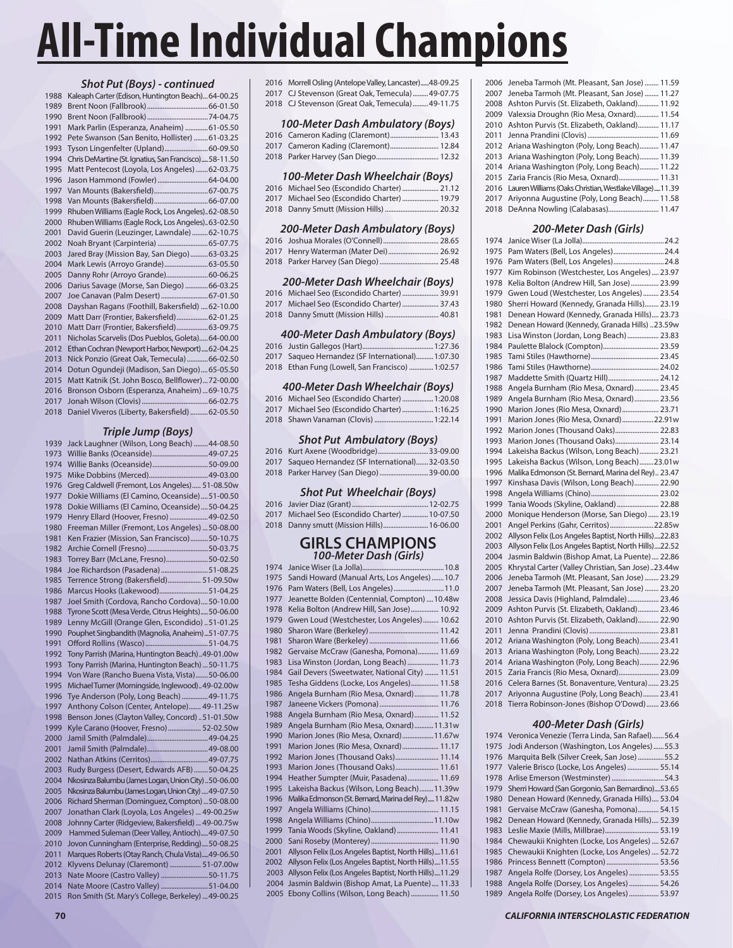### *Shot Put (Boys) - continued*

|      | <i>JIIULT UL (DUY)) -</i> CUIRINGU                    |
|------|-------------------------------------------------------|
| 1988 | Kaleaph Carter (Edison, Huntington Beach) 64-00.25    |
| 1989 |                                                       |
| 1990 |                                                       |
| 1991 | Mark Parlin (Esperanza, Anaheim)  61-05.50            |
| 1992 | Pete Swanson (San Benito, Hollister)  61-03.25        |
| 1993 | Tyson Lingenfelter (Upland) 60-09.50                  |
| 1994 | Chris DeMartine (St. Ignatius, San Francisco)58-11.50 |
| 1995 | Matt Pentecost (Loyola, Los Angeles)  62-03.75        |
| 1996 | Jason Hammond (Fowler) 64-04.00                       |
| 1997 | Van Mounts (Bakersfield) 67-00.75                     |
| 1998 |                                                       |
| 1999 | Rhuben Williams (Eagle Rock, Los Angeles)62-08.50     |
| 2000 | Rhuben Williams (Eagle Rock, Los Angeles)63-02.50     |
| 2001 | David Guerin (Leuzinger, Lawndale)  62-10.75          |
| 2002 |                                                       |
| 2003 | Jared Bray (Mission Bay, San Diego)  63-03.25         |
| 2004 | Mark Lewis (Arroyo Grande) 63-05.50                   |
| 2005 | Danny Rohr (Arroyo Grande) 60-06.25                   |
| 2006 | Darius Savage (Morse, San Diego)  66-03.25            |
| 2007 | Joe Canavan (Palm Desert)  67-01.50                   |
| 2008 | Dayshan Ragans (Foothill, Bakersfield)  62-10.00      |
| 2009 | Matt Darr (Frontier, Bakersfield)62-01.25             |
| 2010 | Matt Darr (Frontier, Bakersfield)  63-09.75           |
| 2011 | Nicholas Scarvelis (Dos Pueblos, Goleta)64-00.00      |
| 2012 | Ethan Cochran (Newport Harbor, Newport) 62-04.25      |
| 2013 | Nick Ponzio (Great Oak, Temecula)  66-02.50           |
| 2014 | Dotun Ogundeji (Madison, San Diego) 65-05.50          |
| 2015 | Matt Katnik (St. John Bosco, Bellflower)72-00.00      |
| 2016 | Bronson Osborn (Esperanza, Anaheim)  69-10.75         |
| 2017 |                                                       |
| 2018 | Daniel Viveros (Liberty, Bakersfield)  62-05.50       |

#### *Triple Jump (Boys)*

| 1939 | Jack Laughner (Wilson, Long Beach)  44-08.50         |
|------|------------------------------------------------------|
| 1973 | Willie Banks (Oceanside) 49-07.25                    |
| 1974 | Willie Banks (Oceanside) 50-09.00                    |
| 1975 |                                                      |
| 1976 | Greg Caldwell (Fremont, Los Angeles) 51-08.50w       |
| 1977 | Dokie Williams (El Camino, Oceanside)  51-00.50      |
| 1978 | Dokie Williams (El Camino, Oceanside) 50-04.25       |
| 1979 | Henry Ellard (Hoover, Fresno)  49-02.50              |
| 1980 | Freeman Miller (Fremont, Los Angeles)  50-08.00      |
| 1981 | Ken Frazier (Mission, San Francisco)50-10.75         |
| 1982 |                                                      |
| 1983 | Torrey Barr (McLane, Fresno)50-02.50                 |
| 1984 | Joe Richardson (Pasadena)  51-08.25                  |
| 1985 | Terrence Strong (Bakersfield) 51-09.50w              |
| 1986 | Marcus Hooks (Lakewood) 51-04.25                     |
| 1987 | Joel Smith (Cordova, Rancho Cordova) 50-10.00        |
| 1988 | Tyrone Scott (Mesa Verde, Citrus Heights) 50-06.00   |
| 1989 | Lenny McGill (Orange Glen, Escondido) 51-01.25       |
| 1990 | Pouphet Singbandith (Magnolia, Anaheim)51-07.75      |
| 1991 |                                                      |
| 1992 | Tony Parrish (Marina, Huntington Beach)49-01.00w     |
| 1993 | Tony Parrish (Marina, Huntington Beach)  50-11.75    |
| 1994 | Von Ware (Rancho Buena Vista, Vista)50-06.00         |
| 1995 | Michael Turner (Morningside, Inglewood)49-02.00w     |
| 1996 | Tye Anderson (Poly, Long Beach) 49-11.75             |
| 1997 | Anthony Colson (Center, Antelope) 49-11.25w          |
| 1998 | Benson Jones (Clayton Valley, Concord) 51-01.50w     |
| 1999 | Kyle Carano (Hoover, Fresno) 52-02.50w               |
| 2000 |                                                      |
| 2001 |                                                      |
| 2002 |                                                      |
| 2003 | Rudy Burgess (Desert, Edwards AFB) 50-04.25          |
| 2004 | Nkosinza Balumbu (James Logan, Union City)50-06.00   |
| 2005 | Nkosinza Balumbu (James Logan, Union City)  49-07.50 |
| 2006 | Richard Sherman (Dominguez, Compton)  50-08.00       |
| 2007 | Jonathan Clark (Loyola, Los Angeles)  49-00.25w      |
| 2008 | Johnny Carter (Ridgeview, Bakersfield)  49-00.75w    |
| 2009 | Hammed Suleman (Deer Valley, Antioch)49-07.50        |
| 2010 | Jovon Cunningham (Enterprise, Redding)50-08.25       |
| 2011 | Marques Roberts (Otay Ranch, Chula Vista)49-06.50    |
| 2012 | Klyvens Delunay (Claremont)  51-07.00w               |
| 2013 | Nate Moore (Castro Valley)  50-11.75                 |
| 2014 | Nate Moore (Castro Valley) 51-04.00                  |
| 2015 | Ron Smith (St. Mary's College, Berkeley)  49-00.25   |
|      |                                                      |

2016 Morrell Osling (Antelope Valley, Lancaster) ......48-09.25 2017 CJ Stevenson (Great Oak, Temecula) .........49-07.75 2018 CJ Stevenson (Great Oak, Temecula) .........49-11.75

#### *100-Meter Dash Ambulatory (Boys)*

| 2016 Cameron Kading (Claremont) 13.43 |  |
|---------------------------------------|--|
| 2017 Cameron Kading (Claremont) 12.84 |  |
|                                       |  |

#### *100-Meter Dash Wheelchair (Boys)*

| 2016 Michael Seo (Escondido Charter)  21.12 |  |
|---------------------------------------------|--|
| 2017 Michael Seo (Escondido Charter)  19.79 |  |
|                                             |  |

#### *200-Meter Dash Ambulatory (Boys)*

| 2017 Henry Waterman (Mater Dei) 26.92 |  |
|---------------------------------------|--|
|                                       |  |

#### *200-Meter Dash Wheelchair (Boys)*

| 2016 Michael Seo (Escondido Charter)  39.91 |  |
|---------------------------------------------|--|
| 2017 Michael Seo (Escondido Charter)  37.43 |  |
|                                             |  |

#### *400-Meter Dash Ambulatory (Boys)*

| 2017 Sagueo Hernandez (SF International) 1:07.30 |  |
|--------------------------------------------------|--|
| 2018 Ethan Fung (Lowell, San Francisco)  1:02.57 |  |

#### *400-Meter Dash Wheelchair (Boys)*

| 2016 Michael Seo (Escondido Charter)  1:20.08 |
|-----------------------------------------------|
| 2017 Michael Seo (Escondido Charter)  1:16.25 |
|                                               |

#### *Shot Put Ambulatory (Boys)*

| 2016 Kurt Axene (Woodbridge)33-09.00             |  |
|--------------------------------------------------|--|
| 2017 Sagueo Hernandez (SF International)32-03.50 |  |

|  | 2018 Parker Harvey (San Diego)  39-00.00 |  |
|--|------------------------------------------|--|

#### *Shot Put Wheelchair (Boys)*

| 2017 Michael Seo (Escondido Charter)  10-07.50 |  |
|------------------------------------------------|--|
| 2018 Danny smutt (Mission Hills) 16-06.00      |  |

# **GIRLS CHAMPIONS** *100-Meter Dash (Girls)*

| 1974 |                                                       |
|------|-------------------------------------------------------|
| 1975 | Sandi Howard (Manual Arts, Los Angeles)  10.7         |
| 1976 | Pam Waters (Bell, Los Angeles) 11.0                   |
| 1977 | Jeanette Bolden (Centennial, Compton)  10.48w         |
| 1978 | Kelia Bolton (Andrew Hill, San Jose) 10.92            |
| 1979 | Gwen Loud (Westchester, Los Angeles) 10.62            |
| 1980 |                                                       |
| 1981 |                                                       |
| 1982 | Gervaise McCraw (Ganesha, Pomona) 11.69               |
| 1983 | Lisa Winston (Jordan, Long Beach)  11.73              |
| 1984 | Gail Devers (Sweetwater, National City)  11.51        |
| 1985 | Tesha Giddens (Locke, Los Angeles) 11.58              |
| 1986 | Angela Burnham (Rio Mesa, Oxnard) 11.78               |
| 1987 | Janeene Vickers (Pomona)  11.76                       |
| 1988 | Angela Burnham (Rio Mesa, Oxnard)  11.52              |
| 1989 | Angela Burnham (Rio Mesa, Oxnard)  11.31w             |
| 1990 | Marion Jones (Rio Mesa, Oxnard) 11.67w                |
| 1991 | Marion Jones (Rio Mesa, Oxnard) 11.17                 |
| 1992 | Marion Jones (Thousand Oaks) 11.14                    |
| 1993 | Marion Jones (Thousand Oaks) 11.61                    |
| 1994 | Heather Sumpter (Muir, Pasadena) 11.69                |
| 1995 | Lakeisha Backus (Wilson, Long Beach)11.39w            |
| 1996 | Malika Edmonson (St. Bernard, Marina del Rey) 11.82w  |
| 1997 |                                                       |
| 1998 |                                                       |
| 1999 | Tania Woods (Skyline, Oakland)  11.41                 |
| 2000 |                                                       |
| 2001 | Allyson Felix (Los Angeles Baptist, North Hills)11.61 |
| 2002 | Allyson Felix (Los Angeles Baptist, North Hills)11.55 |
| 2003 | Allyson Felix (Los Angeles Baptist, North Hills)11.29 |
| 2004 | Jasmin Baldwin (Bishop Amat, La Puente) 11.33         |
| 2005 | Ebony Collins (Wilson, Long Beach)  11.50             |

| 2006   Jeneba Tarmoh (Mt. Pleasant, San Jose)  11.59         |
|--------------------------------------------------------------|
| 2007 Jeneba Tarmoh (Mt. Pleasant, San Jose)  11.27           |
| 2008 Ashton Purvis (St. Elizabeth, Oakland) 11.92            |
| 2009 Valexsia Droughn (Rio Mesa, Oxnard) 11.54               |
| 2010 Ashton Purvis (St. Elizabeth, Oakland) 11.17            |
|                                                              |
| 2012 Ariana Washington (Poly, Long Beach) 11.47              |
| 2013 Ariana Washington (Poly, Long Beach) 11.39              |
| 2014 Ariana Washington (Poly, Long Beach) 11.22              |
| 2015 Zaria Francis (Rio Mesa, Oxnard) 11.31                  |
| 2016 Lauren Williams (Oaks Christian, Westlake Village)11.39 |
| 2017 Ariyonna Augustine (Poly, Long Beach) 11.58             |
| 2018 DeAnna Nowling (Calabasas) 11.47                        |
|                                                              |

### *200-Meter Dash (Girls)*

| 1974 |                                                       |
|------|-------------------------------------------------------|
| 1975 | Pam Waters (Bell, Los Angeles) 24.4                   |
| 1976 |                                                       |
| 1977 | Kim Robinson (Westchester, Los Angeles)  23.97        |
| 1978 | Kelia Bolton (Andrew Hill, San Jose) 23.99            |
| 1979 | Gwen Loud (Westchester, Los Angeles)  23.54           |
| 1980 | Sherri Howard (Kennedy, Granada Hills) 23.19          |
| 1981 | Denean Howard (Kennedy, Granada Hills) 23.73          |
| 1982 | Denean Howard (Kennedy, Granada Hills) 23.59w         |
| 1983 | Lisa Winston (Jordan, Long Beach)  23.83              |
| 1984 | Paulette Blalock (Compton) 23.59                      |
| 1985 |                                                       |
| 1986 |                                                       |
| 1987 | Maddette Smith (Quartz Hill) 24.12                    |
| 1988 | Angela Burnham (Rio Mesa, Oxnard)  23.45              |
| 1989 | Angela Burnham (Rio Mesa, Oxnard)  23.56              |
| 1990 | Marion Jones (Rio Mesa, Oxnard) 23.71                 |
| 1991 | Marion Jones (Rio Mesa, Oxnard) 22.91w                |
| 1992 | Marion Jones (Thousand Oaks) 22.83                    |
| 1993 | Marion Jones (Thousand Oaks) 23.14                    |
| 1994 | Lakeisha Backus (Wilson, Long Beach) 23.21            |
| 1995 | Lakeisha Backus (Wilson, Long Beach)23.01w            |
| 1996 | Malika Edmonson (St. Bernard, Marina del Rey) 23.47   |
| 1997 | Kinshasa Davis (Wilson, Long Beach) 22.90             |
| 1998 |                                                       |
| 1999 | Tania Woods (Skyline, Oakland)  22.88                 |
| 2000 | Monique Henderson (Morse, San Diego)  23.19           |
| 2001 | Angel Perkins (Gahr, Cerritos)22.85w                  |
| 2002 | Allyson Felix (Los Angeles Baptist, North Hills)22.83 |
| 2003 | Allyson Felix (Los Angeles Baptist, North Hills)22.52 |
| 2004 | Jasmin Baldwin (Bishop Amat, La Puente) 22.86         |
| 2005 | Khrystal Carter (Valley Christian, San Jose)23.44w    |
| 2006 | Jeneba Tarmoh (Mt. Pleasant, San Jose)  23.29         |
| 2007 | Jeneba Tarmoh (Mt. Pleasant, San Jose)  23.20         |
| 2008 | Jessica Davis (Highland, Palmdale) 23.46              |
| 2009 | Ashton Purvis (St. Elizabeth, Oakland) 23.46          |
| 2010 | Ashton Purvis (St. Elizabeth, Oakland) 22.90          |
| 2011 |                                                       |
| 2012 | Ariana Washington (Poly, Long Beach) 23.41            |
| 2013 | Ariana Washington (Poly, Long Beach) 23.22            |
| 2014 | Ariana Washington (Poly, Long Beach) 22.96            |
| 2015 | Zaria Francis (Rio Mesa, Oxnard) 23.09                |
| 2016 | Celera Barnes (St. Bonaventure, Ventura) 23.25        |
| 2017 | Ariyonna Augustine (Poly, Long Beach) 23.41           |
| 2018 | Tierra Robinson-Jones (Bishop O'Dowd) 23.66           |
|      |                                                       |

### *400-Meter Dash (Girls)*

| 1974 | Veronica Venezie (Terra Linda, San Rafael)56.4    |  |
|------|---------------------------------------------------|--|
| 1975 | Jodi Anderson (Washington, Los Angeles)  55.3     |  |
| 1976 | Marquita Belk (Silver Creek, San Jose) 55.2       |  |
| 1977 | Valerie Brisco (Locke, Los Angeles)  55.14        |  |
| 1978 |                                                   |  |
| 1979 | Sherri Howard (San Gorgonio, San Bernardino)53.65 |  |
| 1980 | Denean Howard (Kennedy, Granada Hills) 53.04      |  |
| 1981 | Gervaise McCraw (Ganesha, Pomona) 54.15           |  |
| 1982 | Denean Howard (Kennedy, Granada Hills) 52.39      |  |
| 1983 | Leslie Maxie (Mills, Millbrae) 53.19              |  |
| 1984 | Chewaukii Knighten (Locke, Los Angeles)  52.67    |  |
| 1985 | Chewaukii Knighten (Locke, Los Angeles)  52.72    |  |
| 1986 | Princess Bennett (Compton)  53.56                 |  |
| 1987 | Angela Rolfe (Dorsey, Los Angeles)  53.55         |  |
| 1988 | Angela Rolfe (Dorsey, Los Angeles)  54.26         |  |
| 1989 | Angela Rolfe (Dorsey, Los Angeles)  53.97         |  |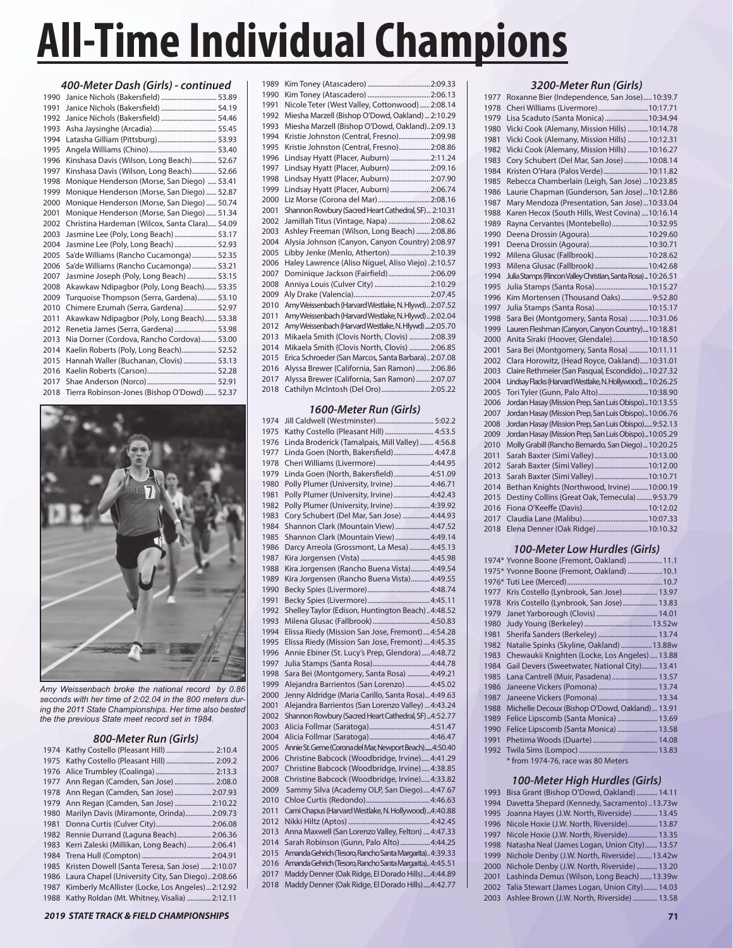| 400-Meter Dash (Girls) - continued |                                                |  |  |
|------------------------------------|------------------------------------------------|--|--|
| 1990                               | Janice Nichols (Bakersfield)  53.89            |  |  |
| 1991                               | Janice Nichols (Bakersfield)  54.19            |  |  |
| 1992                               | Janice Nichols (Bakersfield)  54.46            |  |  |
| 1993                               |                                                |  |  |
| 1994                               | Latasha Gilliam (Pittsburg) 53.93              |  |  |
| 1995                               |                                                |  |  |
| 1996                               | Kinshasa Davis (Wilson, Long Beach) 52.67      |  |  |
| 1997                               | Kinshasa Davis (Wilson, Long Beach) 52.66      |  |  |
| 1998                               | Monique Henderson (Morse, San Diego)  53.41    |  |  |
| 1999                               | Monique Henderson (Morse, San Diego)  52.87    |  |  |
| 2000                               | Monique Henderson (Morse, San Diego)  50.74    |  |  |
| 2001                               | Monique Henderson (Morse, San Diego)  51.34    |  |  |
| 2002                               | Christina Hardeman (Wilcox, Santa Clara) 54.09 |  |  |
| 2003                               | Jasmine Lee (Poly, Long Beach)  53.17          |  |  |
| 2004                               | Jasmine Lee (Poly, Long Beach)  52.93          |  |  |
| 2005                               | Sa'de Williams (Rancho Cucamonga) 52.35        |  |  |
| 2006                               | Sa'de Williams (Rancho Cucamonga)  53.21       |  |  |
| 2007                               | Jasmine Joseph (Poly, Long Beach)  53.15       |  |  |
| 2008                               | Akawkaw Ndipagbor (Poly, Long Beach) 53.35     |  |  |
| 2009                               | Turquoise Thompson (Serra, Gardena) 53.10      |  |  |
| 2010                               | Chimere Ezumah (Serra, Gardena) 52.97          |  |  |
| 2011                               | Akawkaw Ndipagbor (Poly, Long Beach) 53.38     |  |  |
| 2012                               | Renetia James (Serra, Gardena)  53.98          |  |  |
| 2013                               | Nia Dorner (Cordova, Rancho Cordova) 53.00     |  |  |
| 2014                               | Kaelin Roberts (Poly, Long Beach) 52.52        |  |  |
| 2015                               | Hannah Waller (Buchanan, Clovis)  53.13        |  |  |
| 2016                               |                                                |  |  |
| 2017                               |                                                |  |  |
| 2018                               | Tierra Robinson-Jones (Bishop O'Dowd)  52.37   |  |  |



*Amy Weissenbach broke the national record by 0.86 seconds with her time of 2:02.04 in the 800 meters during the 2011 State Championships. Her time also bested the the previous State meet record set in 1984.*

#### *800-Meter Run (Girls)*

| 1974 | Kathy Costello (Pleasant Hill)  2:10.4           |
|------|--------------------------------------------------|
| 1975 | Kathy Costello (Pleasant Hill)  2:09.2           |
| 1976 |                                                  |
| 1977 | Ann Regan (Camden, San Jose)  2:08.0             |
| 1978 | Ann Regan (Camden, San Jose)  2:07.93            |
| 1979 | Ann Regan (Camden, San Jose)  2:10.22            |
| 1980 | Marilyn Davis (Miramonte, Orinda) 2:09.73        |
| 1981 | Donna Curtis (Culver City) 2:06.08               |
| 1982 | Rennie Durrand (Laguna Beach) 2:06.36            |
| 1983 | Kerri Zaleski (Millikan, Long Beach) 2:06.41     |
| 1984 |                                                  |
| 1985 | Kristen Dowell (Santa Teresa, San Jose)  2:10.07 |
| 1986 | Laura Chapel (University City, San Diego)2:08.66 |
| 1987 | Kimberly McAllister (Locke, Los Angeles)2:12.92  |
| 1988 | Kathy Roldan (Mt. Whitney, Visalia)  2:12.11     |

| 1989 |                                                      |
|------|------------------------------------------------------|
| 1990 |                                                      |
| 1991 | Nicole Teter (West Valley, Cottonwood) 2:08.14       |
| 1992 | Miesha Marzell (Bishop O'Dowd, Oakland)  2:10.29     |
| 1993 | Miesha Marzell (Bishop O'Dowd, Oakland)2:09.13       |
| 1994 | Kristie Johnston (Central, Fresno) 2:09.98           |
| 1995 | Kristie Johnston (Central, Fresno) 2:08.86           |
| 1996 | Lindsay Hyatt (Placer, Auburn)  2:11.24              |
| 1997 | Lindsay Hyatt (Placer, Auburn) 2:09.16               |
| 1998 | Lindsay Hyatt (Placer, Auburn)  2:07.90              |
| 1999 | Lindsay Hyatt (Placer, Auburn) 2:06.74               |
| 2000 | Liz Morse (Corona del Mar) 2:08.16                   |
| 2001 | Shannon Rowbury (Sacred Heart Cathedral, SF) 2:10.31 |
| 2002 | Jamillah Titus (Vintage, Napa)  2:08.62              |
| 2003 | Ashley Freeman (Wilson, Long Beach)  2:08.86         |
| 2004 | Alysia Johnson (Canyon, Canyon Country) 2:08.97      |
| 2005 | Libby Jenke (Menlo, Atherton) 2:10.39                |
| 2006 | Haley Lawrence (Aliso Niguel, Aliso Viejo). 2:10.57  |
| 2007 | Dominique Jackson (Fairfield) 2:06.09                |
| 2008 | Anniya Louis (Culver City)  2:10.29                  |
| 2009 |                                                      |
| 2010 | Amy Weissenbach (Harvard Westlake, N. Hlywd) 2:07.52 |
| 2011 | Amy Weissenbach (Harvard Westlake, N. Hlywd) 2:02.04 |
| 2012 | Amy Weissenbach (Harvard Westlake, N. Hlywd)2:05.70  |
| 2013 | Mikaela Smith (Clovis North, Clovis)  2:08.39        |
| 2014 | Mikaela Smith (Clovis North, Clovis)  2:06.85        |
| 2015 | Erica Schroeder (San Marcos, Santa Barbara) 2:07.08  |
| 2016 | Alyssa Brewer (California, San Ramon)  2:06.86       |
| 2017 | Alyssa Brewer (California, San Ramon)  2:07.07       |
| 2018 | Cathilyn McIntosh (Del Oro) 2:05.22                  |
|      |                                                      |

## *1600-Meter Run (Girls)*

| 1974 | Jill Caldwell (Westminster) 5:02.2                      |
|------|---------------------------------------------------------|
| 1975 | Kathy Costello (Pleasant Hill)  4:53.5                  |
| 1976 | Linda Broderick (Tamalpais, Mill Valley)  4:56.8        |
| 1977 | Linda Goen (North, Bakersfield) 4:47.8                  |
| 1978 | Cheri Williams (Livermore) 4:44.95                      |
| 1979 | Linda Goen (North, Bakersfield) 4:51.09                 |
| 1980 | Polly Plumer (University, Irvine)  4:46.71              |
| 1981 | Polly Plumer (University, Irvine)  4:42.43              |
| 1982 | Polly Plumer (University, Irvine)  4:39.92              |
| 1983 | Cory Schubert (Del Mar, San Jose)  4:44.93              |
| 1984 | Shannon Clark (Mountain View) 4:47.52                   |
| 1985 | Shannon Clark (Mountain View)  4:49.14                  |
| 1986 | Darcy Arreola (Grossmont, La Mesa)  4:45.13             |
| 1987 |                                                         |
| 1988 | Kira Jorgensen (Rancho Buena Vista) 4:49.54             |
| 1989 | Kira Jorgensen (Rancho Buena Vista) 4:49.55             |
| 1990 |                                                         |
| 1991 |                                                         |
| 1992 | Shelley Taylor (Edison, Huntington Beach) 4:48.52       |
| 1993 |                                                         |
| 1994 | Elissa Riedy (Mission San Jose, Fremont) 4:54.28        |
| 1995 | Elissa Riedy (Mission San Jose, Fremont) 4:45.35        |
| 1996 | Annie Ebiner (St. Lucy's Prep, Glendora) 4:48.72        |
| 1997 | Julia Stamps (Santa Rosa)4:44.78                        |
| 1998 | Sara Bei (Montgomery, Santa Rosa)  4:49.21              |
| 1999 | Alejandra Barrientos (San Lorenzo)  4:45.02             |
| 2000 | Jenny Aldridge (Maria Carillo, Santa Rosa) 4:49.63      |
| 2001 | Alejandra Barrientos (San Lorenzo Valley)  4:43.24      |
| 2002 | Shannon Rowbury (Sacred Heart Cathedral, SF)  4:52.77   |
| 2003 |                                                         |
| 2004 |                                                         |
| 2005 | Annie St. Geme (Corona del Mar, Newport Beach)4:50.40   |
| 2006 | Christine Babcock (Woodbridge, Irvine) 4:41.29          |
| 2007 | Christine Babcock (Woodbridge, Irvine) 4:38.85          |
| 2008 | Christine Babcock (Woodbridge, Irvine) 4:33.82          |
| 2009 | Sammy Silva (Academy OLP, San Diego) 4:47.67            |
| 2010 |                                                         |
| 2011 | Cami Chapus (Harvard Westlake, N. Hollywood)4:40.88     |
| 2012 |                                                         |
| 2013 | Anna Maxwell (San Lorenzo Valley, Felton)  4:47.33      |
| 2014 | Sarah Robinson (Gunn, Palo Alto)  4:44.25               |
| 2015 | Amanda Gehrich (Tesoro, Rancho Santa Margarita) 4:39.33 |
| 2016 | Amanda Gehrich (Tesoro, Rancho Santa Margarita) 4:45.51 |
| 2017 | Maddy Denner (Oak Ridge, El Dorado Hills) 4:44.89       |
| 2018 | Maddy Denner (Oak Ridge, El Dorado Hills) 4:42.77       |
|      |                                                         |

#### *3200-Meter Run (Girls)*

| 1977 | Roxanne Bier (Independence, San Jose)10:39.7                 |
|------|--------------------------------------------------------------|
| 1978 | Cheri Williams (Livermore)10:17.71                           |
| 1979 | Lisa Scaduto (Santa Monica) 10:34.94                         |
| 1980 | Vicki Cook (Alemany, Mission Hills) 10:14.78                 |
| 1981 | Vicki Cook (Alemany, Mission Hills) 10:12.31                 |
| 1982 | Vicki Cook (Alemany, Mission Hills) 10:16.27                 |
| 1983 | Cory Schubert (Del Mar, San Jose) 10:08.14                   |
| 1984 | Kristen O'Hara (Palos Verde)10:11.82                         |
| 1985 | Rebecca Chamberlain (Leigh, San Jose) 10:23.85               |
| 1986 | Laurie Chapman (Gunderson, San Jose)10:12.86                 |
| 1987 | Mary Mendoza (Presentation, San Jose)10:33.04                |
| 1988 | Karen Hecox (South Hills, West Covina)  10:16.14             |
| 1989 | Rayna Cervantes (Montebello)10:32.95                         |
| 1990 |                                                              |
| 1991 | Deena Drossin (Agoura)10:30.71                               |
| 1992 | Milena Glusac (Fallbrook) 10:28.62                           |
| 1993 | Milena Glusac (Fallbrook) 10:42.68                           |
| 1994 | Julia Stamps (Rincon Valley Christian, Santa Rosa)  10:26.51 |
| 1995 | Julia Stamps (Santa Rosa)10:15.27                            |
| 1996 | Kim Mortensen (Thousand Oaks) 9:52.80                        |
| 1997 | Julia Stamps (Santa Rosa)10:15.17                            |
| 1998 | Sara Bei (Montgomery, Santa Rosa) 10:31.06                   |
| 1999 | Lauren Fleshman (Canyon, Canyon Country)10:18.81             |
| 2000 | Anita Siraki (Hoover, Glendale)10:18.50                      |
| 2001 | Sara Bei (Montgomery, Santa Rosa) 10:11.11                   |
| 2002 | Clara Horowitz, (Head Royce, Oakland)10:31.01                |
| 2003 | Claire Rethmeier (San Pasqual, Escondido)10:27.32            |
| 2004 | Lindsay Flacks (Harvard Westlake, N. Hollywood) 10:26.25     |
| 2005 | Tori Tyler (Gunn, Palo Alto)10:38.90                         |
| 2006 | Jordan Hasay (Mission Prep, San Luis Obispo)10:13.55         |
| 2007 | Jordan Hasay (Mission Prep, San Luis Obispo)10:06.76         |
| 2008 | Jordan Hasay (Mission Prep, San Luis Obispo) 9:52.13         |
| 2009 | Jordan Hasay (Mission Prep, San Luis Obispo)10:05.29         |
| 2010 | Molly Grabill (Rancho Bernardo, San Diego)  10:20.25         |
| 2011 | Sarah Baxter (Simi Valley) 10:13.00                          |
| 2012 | Sarah Baxter (Simi Valley) 10:12.00                          |
| 2013 | Sarah Baxter (Simi Valley) 10:10.71                          |
| 2014 | Bethan Knights (Northwood, Irvine)10:00.19                   |
| 2015 | Destiny Collins (Great Oak, Temecula)9:53.79                 |
| 2016 |                                                              |
| 2017 |                                                              |
| 2018 | Elena Denner (Oak Ridge)10:10.32                             |

## *100-Meter Low Hurdles (Girls)*

|      | 1974* Yvonne Boone (Fremont, Oakland)  11.1     |
|------|-------------------------------------------------|
|      | 1975* Yvonne Boone (Fremont, Oakland)  10.1     |
|      |                                                 |
| 1977 | Kris Costello (Lynbrook, San Jose) 13.97        |
| 1978 | Kris Costello (Lynbrook, San Jose) 13.83        |
| 1979 |                                                 |
| 1980 |                                                 |
| 1981 | Sherifa Sanders (Berkeley)  13.74               |
| 1982 | Natalie Spinks (Skyline, Oakland)  13.88w       |
| 1983 | Chewaukii Knighten (Locke, Los Angeles)  13.88  |
| 1984 | Gail Devers (Sweetwater, National City) 13.41   |
| 1985 | Lana Cantrell (Muir, Pasadena)  13.57           |
| 1986 |                                                 |
| 1987 |                                                 |
| 1988 | Michelle Decoux (Bishop O'Dowd, Oakland)  13.91 |
| 1989 | Felice Lipscomb (Santa Monica)  13.69           |
| 1990 | Felice Lipscomb (Santa Monica)  13.58           |
| 1991 |                                                 |
| 1992 |                                                 |

\* from 1974-76, race was 80 Meters

#### *100-Meter High Hurdles (Girls)*

| 1993 Bisa Grant (Bishop O'Dowd, Oakland)  14.11    |  |
|----------------------------------------------------|--|
| 1994 Davetta Shepard (Kennedy, Sacramento)13.73w   |  |
| 1995 Joanna Hayes (J.W. North, Riverside)  13.45   |  |
| 1996 Nicole Hoxie (J.W. North, Riverside) 13.87    |  |
| 1997 Nicole Hoxie (J.W. North, Riverside) 13.35    |  |
| 1998 Natasha Neal (James Logan, Union City) 13.57  |  |
| 1999 Nichole Denby (J.W. North, Riverside)13.42w   |  |
| 2000 Nichole Denby (J.W. North, Riverside)  13.20  |  |
| 2001 Lashinda Demus (Wilson, Long Beach)13.39w     |  |
| 2002 Talia Stewart (James Logan, Union City) 14.03 |  |
| 2003 Ashlee Brown (J.W. North, Riverside)  13.58   |  |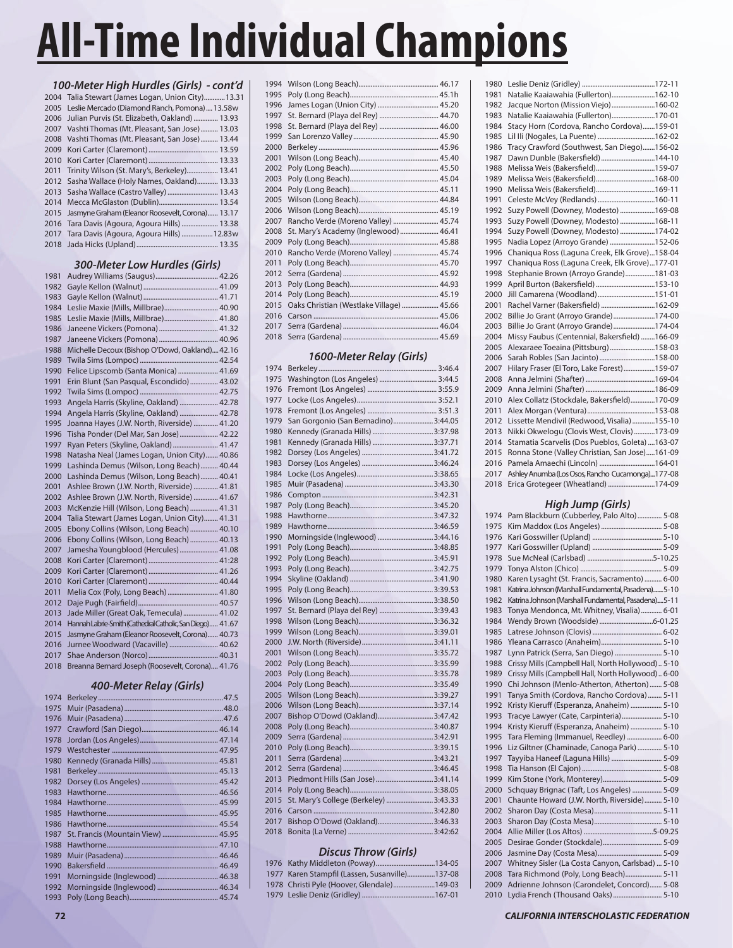|      | 100-Meter High Hurdles (Girls) - cont'd          |
|------|--------------------------------------------------|
| 2004 | Talia Stewart (James Logan, Union City) 13.31    |
| 2005 | Leslie Mercado (Diamond Ranch, Pomona)  13.58w   |
| 2006 | Julian Purvis (St. Elizabeth, Oakland)  13.93    |
| 2007 | Vashti Thomas (Mt. Pleasant, San Jose) 13.03     |
| 2008 | Vashti Thomas (Mt. Pleasant, San Jose) 13.44     |
| 2009 |                                                  |
| 2010 |                                                  |
| 2011 | Trinity Wilson (St. Mary's, Berkeley) 13.41      |
| 2012 | Sasha Wallace (Holy Names, Oakland) 13.33        |
| 2013 | Sasha Wallace (Castro Valley)  13.43             |
| 2014 |                                                  |
| 2015 | Jasmyne Graham (Eleanor Roosevelt, Corona) 13.17 |
| 2016 | Tara Davis (Agoura, Agoura Hills)  13.38         |
| 2017 | Tara Davis (Agoura, Agoura Hills)  12.83w        |
|      |                                                  |
|      |                                                  |

## *300-Meter Low Hurdles (Girls)*

| 1981 |                                                           |
|------|-----------------------------------------------------------|
| 1982 |                                                           |
| 1983 |                                                           |
| 1984 | Leslie Maxie (Mills, Millbrae) 40.90                      |
| 1985 | Leslie Maxie (Mills, Millbrae) 41.80                      |
| 1986 | Janeene Vickers (Pomona)  41.32                           |
| 1987 |                                                           |
| 1988 | Michelle Decoux (Bishop O'Dowd, Oakland) 42.16            |
| 1989 |                                                           |
| 1990 | Felice Lipscomb (Santa Monica)  41.69                     |
| 1991 | Erin Blunt (San Pasqual, Escondido)  43.02                |
| 1992 |                                                           |
| 1993 | Angela Harris (Skyline, Oakland)  42.78                   |
| 1994 | Angela Harris (Skyline, Oakland)  42.78                   |
| 1995 | Joanna Hayes (J.W. North, Riverside)  41.20               |
| 1996 | Tisha Ponder (Del Mar, San Jose) 42.22                    |
| 1997 | Ryan Peters (Skyline, Oakland)  41.47                     |
| 1998 | Natasha Neal (James Logan, Union City) 40.86              |
| 1999 | Lashinda Demus (Wilson, Long Beach) 40.44                 |
| 2000 | Lashinda Demus (Wilson, Long Beach) 40.41                 |
| 2001 | Ashlee Brown (J.W. North, Riverside)  41.81               |
| 2002 | Ashlee Brown (J.W. North, Riverside)  41.67               |
| 2003 | McKenzie Hill (Wilson, Long Beach)  41.31                 |
| 2004 | Talia Stewart (James Logan, Union City) 41.31             |
| 2005 | Ebony Collins (Wilson, Long Beach)  40.10                 |
| 2006 | Ebony Collins (Wilson, Long Beach)  40.13                 |
| 2007 | Jamesha Youngblood (Hercules) 41.08                       |
| 2008 |                                                           |
| 2009 |                                                           |
| 2010 |                                                           |
| 2011 | Melia Cox (Poly, Long Beach)  41.80                       |
| 2012 |                                                           |
| 2013 | Jade Miller (Great Oak, Temecula) 41.02                   |
| 2014 | Hannah Labrie-Smith (Cathedral Catholic, San Diego) 41.67 |
| 2015 | Jasmyne Graham (Eleanor Roosevelt, Corona) 40.73          |
| 2016 | Jurnee Woodward (Vacaville)  40.62                        |
| 2017 |                                                           |
| 2018 | Breanna Bernard Joseph (Roosevelt, Corona) 41.76          |
|      |                                                           |

### *400-Meter Relay (Girls)*

| 1974 |                                    |  |
|------|------------------------------------|--|
| 1975 |                                    |  |
| 1976 |                                    |  |
| 1977 |                                    |  |
| 1978 |                                    |  |
| 1979 |                                    |  |
| 1980 |                                    |  |
| 1981 |                                    |  |
| 1982 |                                    |  |
| 1983 |                                    |  |
| 1984 |                                    |  |
| 1985 |                                    |  |
| 1986 |                                    |  |
| 1987 | St. Francis (Mountain View)  45.95 |  |
| 1988 |                                    |  |
| 1989 |                                    |  |
| 1990 |                                    |  |
| 1991 |                                    |  |
| 1992 |                                    |  |
| 1993 |                                    |  |

| 1994 |                                          |  |
|------|------------------------------------------|--|
| 1995 |                                          |  |
| 1996 |                                          |  |
| 1997 |                                          |  |
| 1998 | St. Bernard (Playa del Rey)  46.00       |  |
| 1999 |                                          |  |
| 2000 |                                          |  |
| 2001 |                                          |  |
| 2002 |                                          |  |
| 2003 |                                          |  |
| 2004 |                                          |  |
| 2005 |                                          |  |
| 2006 |                                          |  |
| 2007 | Rancho Verde (Moreno Valley)  45.74      |  |
| 2008 | St. Mary's Academy (Inglewood)  46.41    |  |
| 2009 |                                          |  |
| 2010 | Rancho Verde (Moreno Valley)  45.74      |  |
| 2011 |                                          |  |
| 2012 |                                          |  |
| 2013 |                                          |  |
| 2014 |                                          |  |
| 2015 | Oaks Christian (Westlake Village)  45.66 |  |
| 2016 |                                          |  |
| 2017 |                                          |  |
| 2018 |                                          |  |

### *1600-Meter Relay (Girls)*

| 1974 |                                        |  |
|------|----------------------------------------|--|
| 1975 | Washington (Los Angeles)  3:44.5       |  |
| 1976 |                                        |  |
| 1977 |                                        |  |
| 1978 |                                        |  |
| 1979 | San Gorgonio (San Bernadino) 3:44.05   |  |
| 1980 |                                        |  |
| 1981 |                                        |  |
| 1982 |                                        |  |
| 1983 |                                        |  |
| 1984 |                                        |  |
| 1985 |                                        |  |
| 1986 |                                        |  |
| 1987 |                                        |  |
| 1988 |                                        |  |
| 1989 |                                        |  |
| 1990 | Morningside (Inglewood) 3:44.16        |  |
| 1991 |                                        |  |
| 1992 |                                        |  |
| 1993 |                                        |  |
| 1994 |                                        |  |
| 1995 |                                        |  |
| 1996 |                                        |  |
| 1997 | St. Bernard (Playa del Rey)  3:39.43   |  |
| 1998 |                                        |  |
| 1999 |                                        |  |
| 2000 |                                        |  |
| 2001 |                                        |  |
| 2002 |                                        |  |
| 2003 |                                        |  |
| 2004 |                                        |  |
| 2005 |                                        |  |
| 2006 |                                        |  |
| 2007 | Bishop O'Dowd (Oakland)3:47.42         |  |
| 2008 |                                        |  |
| 2009 |                                        |  |
| 2010 |                                        |  |
| 2011 |                                        |  |
| 2012 |                                        |  |
| 2013 |                                        |  |
| 2014 |                                        |  |
| 2015 | St. Mary's College (Berkeley)  3:43.33 |  |
| 2016 |                                        |  |
| 2017 | Bishop O'Dowd (Oakland)3:46.33         |  |
| 2018 |                                        |  |
|      |                                        |  |

## *Discus Throw (Girls)*

|  | 1976 Kathy Middleton (Poway)134-05             |  |
|--|------------------------------------------------|--|
|  | 1977 Karen Stampfil (Lassen, Susanville)137-08 |  |
|  | 1978 Christi Pyle (Hoover, Glendale)149-03     |  |
|  |                                                |  |

| 1980 |                                                  |
|------|--------------------------------------------------|
| 1981 | Natalie Kaaiawahia (Fullerton)162-10             |
| 1982 | Jacque Norton (Mission Viejo)160-02              |
| 1983 | Natalie Kaaiawahia (Fullerton)170-01             |
| 1984 | Stacy Horn (Cordova, Rancho Cordova)159-01       |
| 1985 | Lil Ili (Nogales, La Puente) 162-02              |
| 1986 | Tracy Crawford (Southwest, San Diego)156-02      |
| 1987 | Dawn Dunble (Bakersfield)144-10                  |
| 1988 |                                                  |
| 1989 |                                                  |
| 1990 | Melissa Weis (Bakersfield)169-11                 |
| 1991 | Celeste McVey (Redlands)160-11                   |
| 1992 | Suzy Powell (Downey, Modesto) 169-08             |
| 1993 | Suzy Powell (Downey, Modesto) 168-11             |
| 1994 | Suzy Powell (Downey, Modesto) 174-02             |
| 1995 | Nadia Lopez (Arroyo Grande) 152-06               |
| 1996 | Chaniqua Ross (Laguna Creek, Elk Grove)158-04    |
| 1997 | Chaniqua Ross (Laguna Creek, Elk Grove)177-01    |
| 1998 | Stephanie Brown (Arroyo Grande)181-03            |
| 1999 | April Burton (Bakersfield) 153-10                |
| 2000 | Jill Camarena (Woodland)151-01                   |
| 2001 | Rachel Varner (Bakersfield) 162-09               |
| 2002 | Billie Jo Grant (Arroyo Grande)174-00            |
| 2003 | Billie Jo Grant (Arroyo Grande)174-04            |
| 2004 | Missy Faubus (Centennial, Bakersfield) 166-09    |
| 2005 | Alexaraee Toeaina (Pittsburg)158-03              |
| 2006 | Sarah Robles (San Jacinto) 158-00                |
| 2007 | Hilary Fraser (El Toro, Lake Forest)159-07       |
| 2008 |                                                  |
| 2009 |                                                  |
| 2010 | Alex Collatz (Stockdale, Bakersfield)170-09      |
| 2011 |                                                  |
| 2012 | Lissette Mendivil (Redwood, Visalia)155-10       |
| 2013 | Nikki Okwelogu (Clovis West, Clovis) 173-09      |
| 2014 | Stamatia Scarvelis (Dos Pueblos, Goleta)  163-07 |
| 2015 | Ronna Stone (Valley Christian, San Jose)161-09   |
| 2016 | Pamela Amaechi (Lincoln) 164-01                  |
| 2017 | Ashley Anumba (Los Osos, Rancho Cucamonga)177-08 |
| 2018 | Erica Grotegeer (Wheatland) 174-09               |

# *High Jump (Girls)*

| 1974 | Pam Blackburn (Cubberley, Palo Alto)  5-08            |
|------|-------------------------------------------------------|
| 1975 |                                                       |
| 1976 |                                                       |
| 1977 |                                                       |
| 1978 |                                                       |
| 1979 |                                                       |
| 1980 | Karen Lysaght (St. Francis, Sacramento)  6-00         |
| 1981 | Katrina Johnson (Marshall Fundamental, Pasadena) 5-10 |
| 1982 | Katrina Johnson (Marshall Fundamental, Pasadena) 5-11 |
| 1983 | Tonya Mendonca, Mt. Whitney, Visalia)  6-01           |
| 1984 |                                                       |
| 1985 |                                                       |
| 1986 |                                                       |
| 1987 | Lynn Patrick (Serra, San Diego)  5-10                 |
| 1988 | Crissy Mills (Campbell Hall, North Hollywood)  5-10   |
| 1989 | Crissy Mills (Campbell Hall, North Hollywood) 6-00    |
| 1990 | Chi Johnson (Menlo-Atherton, Atherton)  5-08          |
| 1991 | Tanya Smith (Cordova, Rancho Cordova)  5-11           |
| 1992 | Kristy Kieruff (Esperanza, Anaheim)  5-10             |
| 1993 | Tracye Lawyer (Cate, Carpinteria) 5-10                |
| 1994 | Kristy Kieruff (Esperanza, Anaheim)  5-10             |
| 1995 | Tara Fleming (Immanuel, Reedley)  6-00                |
| 1996 | Liz Giltner (Chaminade, Canoga Park)  5-10            |
| 1997 | Tayyiba Haneef (Laguna Hills)  5-09                   |
| 1998 |                                                       |
| 1999 |                                                       |
| 2000 | Schquay Brignac (Taft, Los Angeles)  5-09             |
| 2001 | Chaunte Howard (J.W. North, Riverside) 5-10           |
| 2002 |                                                       |
| 2003 |                                                       |
| 2004 |                                                       |
| 2005 |                                                       |
| 2006 |                                                       |
| 2007 | Whitney Sisler (La Costa Canyon, Carlsbad)  5-10      |
| 2008 | Tara Richmond (Poly, Long Beach) 5-11                 |
| 2009 | Adrienne Johnson (Carondelet, Concord) 5-08           |
| 2010 | Lydia French (Thousand Oaks)  5-10                    |
|      |                                                       |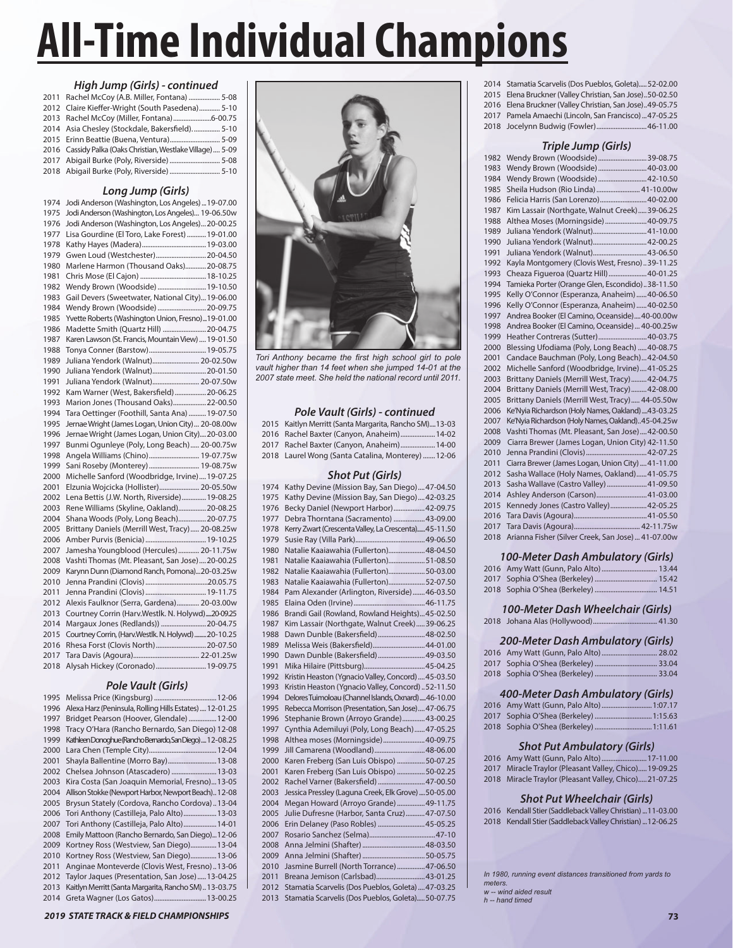#### *High Jump (Girls) - continued*

| 2011 Rachel McCoy (A.B. Miller, Fontana)  5-08              |  |
|-------------------------------------------------------------|--|
| 2012 Claire Kieffer-Wright (South Pasedena) 5-10            |  |
| 2013 Rachel McCoy (Miller, Fontana)6-00.75                  |  |
| 2014 Asia Chesley (Stockdale, Bakersfield).  5-10           |  |
| 2015 Erinn Beattie (Buena, Ventura) 5-09                    |  |
| 2016 Cassidy Palka (Oaks Christian, Westlake Village)  5-09 |  |
| 2017 Abigail Burke (Poly, Riverside)  5-08                  |  |
|                                                             |  |

## *Long Jump (Girls)*

|      | cong Jump (Gins)                                    |
|------|-----------------------------------------------------|
| 1974 | Jodi Anderson (Washington, Los Angeles)  19-07.00   |
| 1975 | Jodi Anderson (Washington, Los Angeles) 19-06.50w   |
| 1976 | Jodi Anderson (Washington, Los Angeles) 20-00.25    |
| 1977 | Lisa Gourdine (El Toro, Lake Forest)  19-01.00      |
| 1978 |                                                     |
| 1979 | Gwen Loud (Westchester) 20-04.50                    |
| 1980 | Marlene Harmon (Thousand Oaks)20-08.75              |
| 1981 |                                                     |
| 1982 | Wendy Brown (Woodside)  19-10.50                    |
| 1983 | Gail Devers (Sweetwater, National City)19-06.00     |
| 1984 | Wendy Brown (Woodside)  20-09.75                    |
| 1985 | Yvette Roberts (Washington Union, Fresno)19-01.00   |
| 1986 | Madette Smith (Quartz Hill) 20-04.75                |
| 1987 | Karen Lawson (St. Francis, Mountain View)  19-01.50 |
| 1988 | Tonya Conner (Barstow) 19-05.75                     |
| 1989 | Juliana Yendork (Walnut) 20-02.50w                  |
| 1990 | Juliana Yendork (Walnut) 20-01.50                   |
| 1991 | Juliana Yendork (Walnut) 20-07.50w                  |
| 1992 | Kam Warner (West, Bakersfield)  20-06.25            |
| 1993 | Marion Jones (Thousand Oaks)22-00.50                |
| 1994 | Tara Oettinger (Foothill, Santa Ana)  19-07.50      |
| 1995 | Jernae Wright (James Logan, Union City) 20-08.00w   |
| 1996 | Jernae Wright (James Logan, Union City)20-03.00     |
| 1997 | Bunmi Ogunleye (Poly, Long Beach) 20-00.75w         |
| 1998 | Angela Williams (Chino) 19-07.75w                   |
| 1999 | Sani Roseby (Monterey) 19-08.75w                    |
| 2000 | Michelle Sanford (Woodbridge, Irvine) 19-07.25      |
| 2001 | Elzunia Wojcicka (Hollister) 20-05.50w              |
| 2002 | Lena Bettis (J.W. North, Riverside) 19-08.25        |
| 2003 | Rene Williams (Skyline, Oakland)20-08.25            |
| 2004 | Shana Woods (Poly, Long Beach)20-07.75              |
| 2005 | Brittany Daniels (Merrill West, Tracy) 20-08.25w    |
| 2006 |                                                     |
| 2007 | Jamesha Youngblood (Hercules)  20-11.75w            |
| 2008 | Vashti Thomas (Mt. Pleasant, San Jose)  20-00.25    |
| 2009 | Karynn Dunn (Diamond Ranch, Pomona)20-03.25w        |
| 2010 |                                                     |
| 2011 |                                                     |
| 2012 | Alexis Faulknor (Serra, Gardena) 20-03.00w          |
| 2013 | Courtney Corrin (Harv.Westlk. N. Holywd)20-09.25    |
| 2014 | Margaux Jones (Redlands)) 20-04.75                  |
| 2015 | Courtney Corrin, (Harv.Westlk. N. Holywd) 20-10.25  |
| 2016 | Rhesa Forst (Clovis North) 20-07.50                 |
| 2017 |                                                     |
| 2018 | Alysah Hickey (Coronado) 19-09.75                   |
|      |                                                     |

# *Pole Vault (Girls)*

| 1995 |                                                         |
|------|---------------------------------------------------------|
| 1996 | Alexa Harz (Peninsula, Rolling Hills Estates)  12-01.25 |
| 1997 | Bridget Pearson (Hoover, Glendale)  12-00               |
| 1998 | Tracy O'Hara (Rancho Bernardo, San Diego) 12-08         |
| 1999 | KathleenDonoghue(RanchoBernardo,SanDiego)12-08.25       |
| 2000 |                                                         |
| 2001 | Shayla Ballentine (Morro Bay) 13-08                     |
| 2002 | Chelsea Johnson (Atascadero)  13-03                     |
| 2003 | Kira Costa (San Joaquin Memorial, Fresno)13-05          |
| 2004 | Allison Stokke (Newport Harbor, Newport Beach) 12-08    |
| 2005 | Brysun Stately (Cordova, Rancho Cordova)13-04           |
| 2006 | Tori Anthony (Castilleja, Palo Alto)  13-03             |
| 2007 | Tori Anthony (Castilleja, Palo Alto) 14-01              |
| 2008 | Emily Mattoon (Rancho Bernardo, San Diego)12-06         |
| 2009 | Kortney Ross (Westview, San Diego) 13-04                |
| 2010 | Kortney Ross (Westview, San Diego) 13-06                |
| 2011 | Anginae Monteverde (Clovis West, Fresno)13-06           |
| 2012 | Taylor Jaques (Presentation, San Jose)13-04.25          |
| 2013 | Kaitlyn Merritt (Santa Margarita, Rancho SM) 13-03.75   |
| 2014 | Greta Wagner (Los Gatos) 13-00.25                       |



Tori Anthony became the first high school girl to pole *vault higher than 14 feet when she jumped 14-01 at the 2007 state meet. She held the national record until 2011.*

### *Pole Vault (Girls) - continued*

| 2015 Kaitlyn Merritt (Santa Margarita, Rancho SM)13-03 |
|--------------------------------------------------------|
| 2016 Rachel Baxter (Canyon, Anaheim) 14-02             |
| 2017 Rachel Baxter (Canyon, Anaheim) 14-00             |
| 2018 Laurel Wong (Santa Catalina, Monterey) 12-06      |

### *Shot Put (Girls)*

| 1974 | Kathy Devine (Mission Bay, San Diego) 47-04.50        |  |
|------|-------------------------------------------------------|--|
| 1975 | Kathy Devine (Mission Bay, San Diego)42-03.25         |  |
| 1976 | Becky Daniel (Newport Harbor)42-09.75                 |  |
| 1977 | Debra Thorntana (Sacramento)  43-09.00                |  |
| 1978 | Kerry Zwart (Crescenta Valley, La Crescenta) 45-11.50 |  |
| 1979 |                                                       |  |
| 1980 | Natalie Kaaiawahia (Fullerton) 48-04.50               |  |
| 1981 | Natalie Kaaiawahia (Fullerton) 51-08.50               |  |
| 1982 | Natalie Kaaiawahia (Fullerton)50-03.00                |  |
| 1983 | Natalie Kaaiawahia (Fullerton)52-07.50                |  |
| 1984 | Pam Alexander (Arlington, Riverside)46-03.50          |  |
| 1985 |                                                       |  |
| 1986 | Brandi Gail (Rowland, Rowland Heights) 45-02.50       |  |
| 1987 | Kim Lassair (Northgate, Walnut Creek) 39-06.25        |  |
| 1988 | Dawn Dunble (Bakersfield)48-02.50                     |  |
| 1989 | Melissa Weis (Bakersfield)44-01.00                    |  |
| 1990 | Dawn Dunble (Bakersfield) 49-03.50                    |  |
| 1991 |                                                       |  |
| 1992 | Kristin Heaston (Ygnacio Valley, Concord)  45-03.50   |  |
| 1993 | Kristin Heaston (Ygnacio Valley, Concord)  52-11.50   |  |
| 1994 | Delores Tuimoloau (Channel Islands, Oxnard)46-10.00   |  |
| 1995 | Rebecca Morrison (Presentation, San Jose) 47-06.75    |  |
| 1996 | Stephanie Brown (Arroyo Grande)43-00.25               |  |
| 1997 | Cynthia Ademiluyi (Poly, Long Beach)  47-05.25        |  |
| 1998 | Althea moses (Morningside)40-09.75                    |  |
| 1999 | Jill Camarena (Woodland)48-06.00                      |  |
| 2000 | Karen Freberg (San Luis Obispo) 50-07.25              |  |
| 2001 | Karen Freberg (San Luis Obispo) 50-02.25              |  |
| 2002 | Rachel Varner (Bakersfield)  47-00.50                 |  |
| 2003 | Jessica Pressley (Laguna Creek, Elk Grove)  50-05.00  |  |
| 2004 | Megan Howard (Arroyo Grande)  49-11.75                |  |
| 2005 | Julie Dufresne (Harbor, Santa Cruz)47-07.50           |  |
| 2006 | Erin Delaney (Paso Robles)  45-05.25                  |  |
| 2007 |                                                       |  |
| 2008 |                                                       |  |
| 2009 |                                                       |  |
| 2010 | Jasmine Burrell (North Torrance) 47-06.50             |  |
| 2011 | Breana Jemison (Carlsbad)43-01.25                     |  |
| 2012 | Stamatia Scarvelis (Dos Pueblos, Goleta)  47-03.25    |  |
| 2013 | Stamatia Scarvelis (Dos Pueblos, Goleta) 50-07.75     |  |
|      |                                                       |  |

| 2014 Stamatia Scarvelis (Dos Pueblos, Goleta) 52-02.00   |
|----------------------------------------------------------|
| 2015 Elena Bruckner (Valley Christian, San Jose)50-02.50 |
| 2016 Elena Bruckner (Valley Christian, San Jose)49-05.75 |
| $2017$ Departs Approach: (Lineal Cap European) $47.0525$ |

2017 Pamela Amaechi (Lincoln, San Francisco) ...47-05.25 2018 Jocelynn Budwig (Fowler) .............................46-11.00

### *Triple Jump (Girls)*

| 1982 | Wendy Brown (Woodside)  39-08.75                   |  |
|------|----------------------------------------------------|--|
| 1983 | Wendy Brown (Woodside)40-03.00                     |  |
| 1984 | Wendy Brown (Woodside) 42-10.50                    |  |
| 1985 | Sheila Hudson (Rio Linda)  41-10.00w               |  |
| 1986 | Felicia Harris (San Lorenzo) 40-02.00              |  |
| 1987 | Kim Lassair (Northgate, Walnut Creek) 39-06.25     |  |
| 1988 | Althea Moses (Morningside) 40-09.75                |  |
| 1989 | Juliana Yendork (Walnut) 41-10.00                  |  |
| 1990 | Juliana Yendork (Walnut) 42-00.25                  |  |
| 1991 | Juliana Yendork (Walnut) 43-06.50                  |  |
| 1992 | Kayla Montgomery (Clovis West, Fresno)39-11.25     |  |
| 1993 | Cheaza Figueroa (Quartz Hill)  40-01.25            |  |
| 1994 | Tamieka Porter (Orange Glen, Escondido)38-11.50    |  |
| 1995 | Kelly O'Connor (Esperanza, Anaheim)40-06.50        |  |
| 1996 | Kelly O'Connor (Esperanza, Anaheim)40-02.50        |  |
| 1997 | Andrea Booker (El Camino, Oceanside) 40-00.00w     |  |
| 1998 | Andrea Booker (El Camino, Oceanside)  40-00.25w    |  |
| 1999 | Heather Contreras (Sutter) 40-03.75                |  |
| 2000 | Blessing Ufodiama (Poly, Long Beach)  40-08.75     |  |
| 2001 | Candace Bauchman (Poly, Long Beach) 42-04.50       |  |
| 2002 | Michelle Sanford (Woodbridge, Irvine) 41-05.25     |  |
| 2003 | Brittany Daniels (Merrill West, Tracy) 42-04.75    |  |
| 2004 | Brittany Daniels (Merrill West, Tracy) 42-08.00    |  |
| 2005 | Brittany Daniels (Merrill West, Tracy) 44-05.50w   |  |
| 2006 | Ke'Nyia Richardson (Holy Names, Oakland) 43-03.25  |  |
| 2007 | Ke'Nyia Richardson (Holy Names, Oakland)45-04.25w  |  |
| 2008 | Vashti Thomas (Mt. Pleasant, San Jose)42-00.50     |  |
| 2009 | Ciarra Brewer (James Logan, Union City) 42-11.50   |  |
| 2010 |                                                    |  |
| 2011 | Ciarra Brewer (James Logan, Union City)  41-11.00  |  |
| 2012 | Sasha Wallace (Holy Names, Oakland) 41-05.75       |  |
| 2013 | Sasha Wallave (Castro Valley)  41-09.50            |  |
| 2014 | Ashley Anderson (Carson)41-03.00                   |  |
| 2015 | Kennedy Jones (Castro Valley) 42-05.25             |  |
| 2016 |                                                    |  |
| 2017 |                                                    |  |
| 2018 | Arianna Fisher (Silver Creek, San Jose)  41-07.00w |  |

#### *100-Meter Dash Ambulatory (Girls)*

#### *100-Meter Dash Wheelchair (Girls)*

|--|--|--|--|

## *200-Meter Dash Ambulatory (Girls)*

### *400-Meter Dash Ambulatory (Girls)*

| 2016 Amy Watt (Gunn, Palo Alto)  1:07.17 |  |
|------------------------------------------|--|
| 2017 Sophia O'Shea (Berkeley)  1:15.63   |  |
|                                          |  |

## *Shot Put Ambulatory (Girls)*

| 2016 Amy Watt (Gunn, Palo Alto)  17-11.00             |  |
|-------------------------------------------------------|--|
| 2017 Miracle Traylor (Pleasant Valley, Chico)19-09.25 |  |
| 2018 Miracle Traylor (Pleasant Valley, Chico)21-07.25 |  |

#### *Shot Put Wheelchair (Girls)*

| 2016 Kendall Stier (Saddleback Valley Christian)  11-03.00 |
|------------------------------------------------------------|
| 2018 Kendall Stier (Saddleback Valley Christian)  12-06.25 |

*w -- wind aided result meters. In 1980, running event distances transitioned from yards to* 

*h -- hand timed*